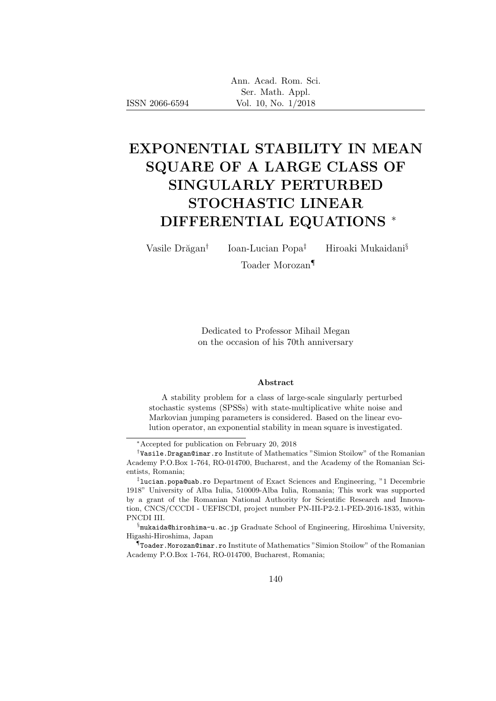| Ann. Acad. Rom. Sci. |
|----------------------|
| Ser. Math. Appl.     |
| Vol. 10, No. 1/2018  |

# EXPONENTIAL STABILITY IN MEAN SQUARE OF A LARGE CLASS OF SINGULARLY PERTURBED STOCHASTIC LINEAR DIFFERENTIAL EQUATIONS <sup>∗</sup>

Vasile Drăgan<sup>†</sup>

ISSN 2066-6594

Ioan-Lucian Popa‡ Hiroaki Mukaidani§

Toader Morozan¶

Dedicated to Professor Mihail Megan on the occasion of his 70th anniversary

#### Abstract

A stability problem for a class of large-scale singularly perturbed stochastic systems (SPSSs) with state-multiplicative white noise and Markovian jumping parameters is considered. Based on the linear evolution operator, an exponential stability in mean square is investigated.

§ mukaida@hiroshima-u.ac.jp Graduate School of Engineering, Hiroshima University, Higashi-Hiroshima, Japan

¶ Toader.Morozan@imar.ro Institute of Mathematics "Simion Stoilow" of the Romanian Academy P.O.Box 1-764, RO-014700, Bucharest, Romania;

<sup>∗</sup>Accepted for publication on February 20, 2018

<sup>†</sup> Vasile.Dragan@imar.ro Institute of Mathematics "Simion Stoilow" of the Romanian Academy P.O.Box 1-764, RO-014700, Bucharest, and the Academy of the Romanian Scientists, Romania;

<sup>‡</sup> lucian.popa@uab.ro Department of Exact Sciences and Engineering, "1 Decembrie 1918" University of Alba Iulia, 510009-Alba Iulia, Romania; This work was supported by a grant of the Romanian National Authority for Scientific Research and Innovation, CNCS/CCCDI - UEFISCDI, project number PN-III-P2-2.1-PED-2016-1835, within PNCDI III.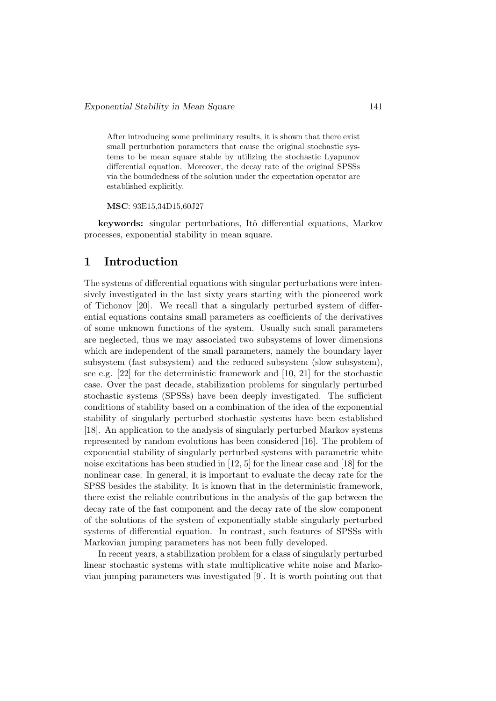After introducing some preliminary results, it is shown that there exist small perturbation parameters that cause the original stochastic systems to be mean square stable by utilizing the stochastic Lyapunov differential equation. Moreover, the decay rate of the original SPSSs via the boundedness of the solution under the expectation operator are established explicitly.

MSC: 93E15,34D15,60J27

keywords: singular perturbations, Itô differential equations, Markov processes, exponential stability in mean square.

## 1 Introduction

The systems of differential equations with singular perturbations were intensively investigated in the last sixty years starting with the pioneered work of Tichonov [20]. We recall that a singularly perturbed system of differential equations contains small parameters as coefficients of the derivatives of some unknown functions of the system. Usually such small parameters are neglected, thus we may associated two subsystems of lower dimensions which are independent of the small parameters, namely the boundary layer subsystem (fast subsystem) and the reduced subsystem (slow subsystem), see e.g. [22] for the deterministic framework and [10, 21] for the stochastic case. Over the past decade, stabilization problems for singularly perturbed stochastic systems (SPSSs) have been deeply investigated. The sufficient conditions of stability based on a combination of the idea of the exponential stability of singularly perturbed stochastic systems have been established [18]. An application to the analysis of singularly perturbed Markov systems represented by random evolutions has been considered [16]. The problem of exponential stability of singularly perturbed systems with parametric white noise excitations has been studied in [12, 5] for the linear case and [18] for the nonlinear case. In general, it is important to evaluate the decay rate for the SPSS besides the stability. It is known that in the deterministic framework, there exist the reliable contributions in the analysis of the gap between the decay rate of the fast component and the decay rate of the slow component of the solutions of the system of exponentially stable singularly perturbed systems of differential equation. In contrast, such features of SPSSs with Markovian jumping parameters has not been fully developed.

In recent years, a stabilization problem for a class of singularly perturbed linear stochastic systems with state multiplicative white noise and Markovian jumping parameters was investigated [9]. It is worth pointing out that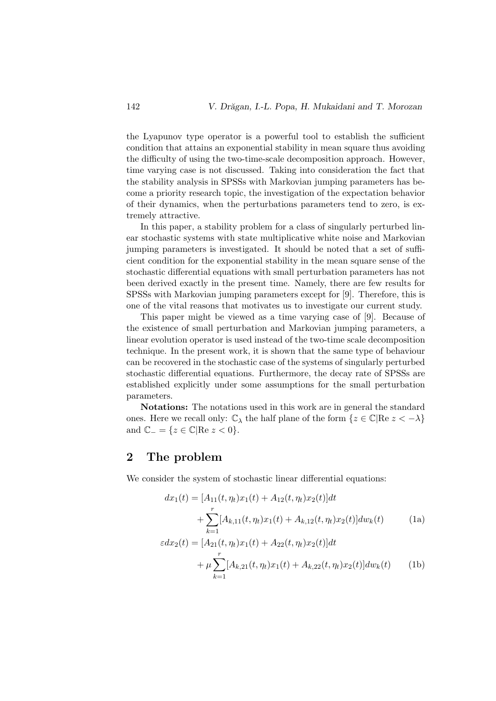the Lyapunov type operator is a powerful tool to establish the sufficient condition that attains an exponential stability in mean square thus avoiding the difficulty of using the two-time-scale decomposition approach. However, time varying case is not discussed. Taking into consideration the fact that the stability analysis in SPSSs with Markovian jumping parameters has become a priority research topic, the investigation of the expectation behavior of their dynamics, when the perturbations parameters tend to zero, is extremely attractive.

In this paper, a stability problem for a class of singularly perturbed linear stochastic systems with state multiplicative white noise and Markovian jumping parameters is investigated. It should be noted that a set of sufficient condition for the exponential stability in the mean square sense of the stochastic differential equations with small perturbation parameters has not been derived exactly in the present time. Namely, there are few results for SPSSs with Markovian jumping parameters except for [9]. Therefore, this is one of the vital reasons that motivates us to investigate our current study.

This paper might be viewed as a time varying case of [9]. Because of the existence of small perturbation and Markovian jumping parameters, a linear evolution operator is used instead of the two-time scale decomposition technique. In the present work, it is shown that the same type of behaviour can be recovered in the stochastic case of the systems of singularly perturbed stochastic differential equations. Furthermore, the decay rate of SPSSs are established explicitly under some assumptions for the small perturbation parameters.

Notations: The notations used in this work are in general the standard ones. Here we recall only:  $\mathbb{C}_{\lambda}$  the half plane of the form  $\{z \in \mathbb{C} | \text{Re } z < -\lambda\}$ and  $\mathbb{C}_{-} = \{z \in \mathbb{C} | \text{Re } z < 0\}.$ 

# 2 The problem

We consider the system of stochastic linear differential equations:

$$
dx_1(t) = [A_{11}(t, \eta_t)x_1(t) + A_{12}(t, \eta_t)x_2(t)]dt
$$
  
+ 
$$
\sum_{k=1}^r [A_{k,11}(t, \eta_t)x_1(t) + A_{k,12}(t, \eta_t)x_2(t)]dw_k(t)
$$
 (1a)  

$$
\varepsilon dx_2(t) = [A_{21}(t, \eta_t)x_1(t) + A_{22}(t, \eta_t)x_2(t)]dt
$$
  
+ 
$$
\mu \sum_{k=1}^r [A_{k,21}(t, \eta_t)x_1(t) + A_{k,22}(t, \eta_t)x_2(t)]dw_k(t)
$$
 (1b)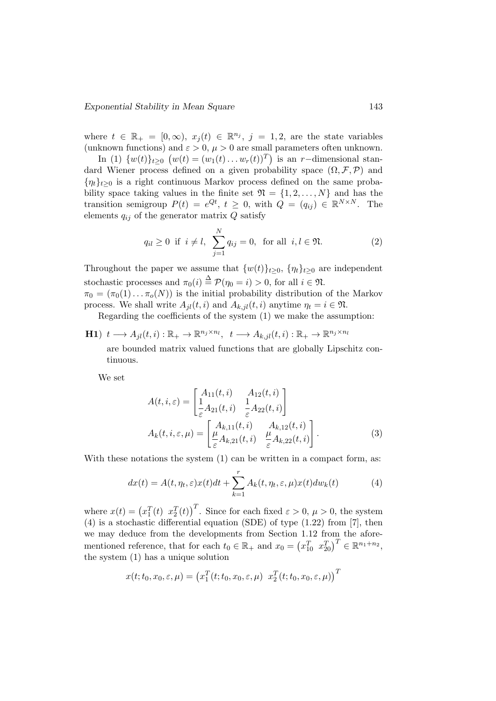where  $t \in \mathbb{R}_+ = [0, \infty), x_j(t) \in \mathbb{R}^{n_j}, j = 1, 2$ , are the state variables (unknown functions) and  $\varepsilon > 0$ ,  $\mu > 0$  are small parameters often unknown.

In (1)  $\{w(t)\}_{t\geq 0}$   $(w(t) = (w_1(t) \dots w_r(t))^T)$  is an r-dimensional standard Wiener process defined on a given probability space  $(\Omega, \mathcal{F}, \mathcal{P})$  and  $\{\eta_t\}_{t\geq 0}$  is a right continuous Markov process defined on the same probability space taking values in the finite set  $\mathfrak{N} = \{1, 2, ..., N\}$  and has the transition semigroup  $P(t) = e^{Qt}$ ,  $t \geq 0$ , with  $Q = (q_{ij}) \in \mathbb{R}^{N \times N}$ . The elements  $q_{ij}$  of the generator matrix  $Q$  satisfy

$$
q_{il} \ge 0
$$
 if  $i \ne l$ ,  $\sum_{j=1}^{N} q_{ij} = 0$ , for all  $i, l \in \mathfrak{N}$ . (2)

Throughout the paper we assume that  $\{w(t)\}_{t\geq0}$ ,  $\{\eta_t\}_{t\geq0}$  are independent stochastic processes and  $\pi_0(i) \stackrel{\Delta}{=} \mathcal{P}(\eta_0 = i) > 0$ , for all  $i \in \mathfrak{N}$ .

 $\pi_0 = (\pi_0(1) \dots \pi_o(N))$  is the initial probability distribution of the Markov process. We shall write  $A_{il}(t, i)$  and  $A_{k,il}(t, i)$  anytime  $\eta_t = i \in \mathfrak{N}$ .

Regarding the coefficients of the system (1) we make the assumption:

**H1**) 
$$
t \longrightarrow A_{jl}(t, i) : \mathbb{R}_+ \to \mathbb{R}^{n_j \times n_l}
$$
,  $t \longrightarrow A_{k, il}(t, i) : \mathbb{R}_+ \to \mathbb{R}^{n_j \times n_l}$   
are bounded matrix valued functions that are globally Lipsch

are bounded matrix valued functions that are globally Lipschitz continuous.

We set

$$
A(t,i,\varepsilon) = \begin{bmatrix} A_{11}(t,i) & A_{12}(t,i) \\ \frac{1}{\varepsilon} A_{21}(t,i) & \frac{1}{\varepsilon} A_{22}(t,i) \end{bmatrix}
$$

$$
A_k(t,i,\varepsilon,\mu) = \begin{bmatrix} A_{k,11}(t,i) & A_{k,12}(t,i) \\ \frac{\mu}{\varepsilon} A_{k,21}(t,i) & \frac{\mu}{\varepsilon} A_{k,22}(t,i) \end{bmatrix}.
$$
(3)

With these notations the system  $(1)$  can be written in a compact form, as:

$$
dx(t) = A(t, \eta_t, \varepsilon)x(t)dt + \sum_{k=1}^r A_k(t, \eta_t, \varepsilon, \mu)x(t)dw_k(t)
$$
 (4)

where  $x(t) = (x_1^T(t) \ x_2^T(t))^T$ . Since for each fixed  $\varepsilon > 0$ ,  $\mu > 0$ , the system (4) is a stochastic differential equation (SDE) of type (1.22) from [7], then we may deduce from the developments from Section 1.12 from the aforementioned reference, that for each  $t_0 \in \mathbb{R}_+$  and  $x_0 = (x_{10}^T \ x_{20}^T)^T \in \mathbb{R}^{n_1+n_2}$ , the system (1) has a unique solution

$$
x(t; t_0, x_0, \varepsilon, \mu) = (x_1^T(t; t_0, x_0, \varepsilon, \mu) x_2^T(t; t_0, x_0, \varepsilon, \mu))^T
$$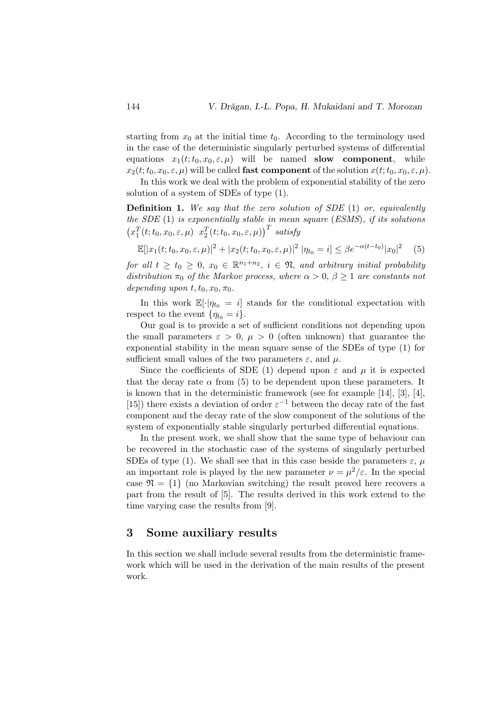starting from  $x_0$  at the initial time  $t_0$ . According to the terminology used in the case of the deterministic singularly perturbed systems of differential equations  $x_1(t; t_0, x_0, \varepsilon, \mu)$  will be named **slow component**, while  $x_2(t; t_0, x_0, \varepsilon, \mu)$  will be called **fast component** of the solution  $x(t; t_0, x_0, \varepsilon, \mu)$ .

In this work we deal with the problem of exponential stability of the zero solution of a system of SDEs of type (1).

**Definition 1.** We say that the zero solution of SDE  $(1)$  or, equivalently the SDE  $(1)$  is exponentially stable in mean square (ESMS), if its solutions  $\left(x_1^T(t;t_0,x_0,\varepsilon,\mu) \right)x_2^T(t;t_0,x_0,\varepsilon,\mu)\right)^T$  satisfy

$$
\mathbb{E}[|x_1(t; t_0, x_0, \varepsilon, \mu)|^2 + |x_2(t; t_0, x_0, \varepsilon, \mu)|^2 \ |\eta_{t_0} = i] \le \beta e^{-\alpha(t - t_0)} |x_0|^2 \tag{5}
$$

for all  $t \geq t_0 \geq 0$ ,  $x_0 \in \mathbb{R}^{n_1+n_2}$ ,  $i \in \mathfrak{N}$ , and arbitrary initial probability distribution  $\pi_0$  of the Markov process, where  $\alpha > 0$ ,  $\beta \geq 1$  are constants not depending upon  $t, t_0, x_0, \pi_0$ .

In this work  $\mathbb{E}[\cdot|\eta_{t_0} = i]$  stands for the conditional expectation with respect to the event  $\{\eta_{t_0} = i\}.$ 

Our goal is to provide a set of sufficient conditions not depending upon the small parameters  $\varepsilon > 0$ ,  $\mu > 0$  (often unknown) that guarantee the exponential stability in the mean square sense of the SDEs of type (1) for sufficient small values of the two parameters  $\varepsilon$ , and  $\mu$ .

Since the coefficients of SDE (1) depend upon  $\varepsilon$  and  $\mu$  it is expected that the decay rate  $\alpha$  from (5) to be dependent upon these parameters. It is known that in the deterministic framework (see for example [14], [3], [4], [15]) there exists a deviation of order  $\varepsilon^{-1}$  between the decay rate of the fast component and the decay rate of the slow component of the solutions of the system of exponentially stable singularly perturbed differential equations.

In the present work, we shall show that the same type of behaviour can be recovered in the stochastic case of the systems of singularly perturbed SDEs of type (1). We shall see that in this case beside the parameters  $\varepsilon$ ,  $\mu$ an important role is played by the new parameter  $\nu = \mu^2/\varepsilon$ . In the special case  $\mathfrak{N} = \{1\}$  (no Markovian switching) the result proved here recovers a part from the result of [5]. The results derived in this work extend to the time varying case the results from [9].

## 3 Some auxiliary results

In this section we shall include several results from the deterministic framework which will be used in the derivation of the main results of the present work.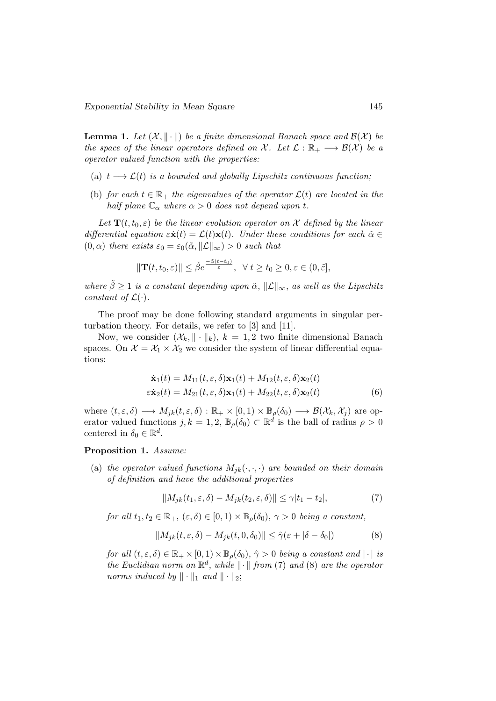**Lemma 1.** Let  $(X, \|\cdot\|)$  be a finite dimensional Banach space and  $\mathcal{B}(X)$  be the space of the linear operators defined on X. Let  $\mathcal{L} : \mathbb{R}_+ \longrightarrow \mathcal{B}(\mathcal{X})$  be a operator valued function with the properties:

- (a)  $t \longrightarrow \mathcal{L}(t)$  is a bounded and globally Lipschitz continuous function;
- (b) for each  $t \in \mathbb{R}_+$  the eigenvalues of the operator  $\mathcal{L}(t)$  are located in the half plane  $\mathbb{C}_{\alpha}$  where  $\alpha > 0$  does not depend upon t.

Let  $\mathbf{T}(t, t_0, \varepsilon)$  be the linear evolution operator on X defined by the linear differential equation  $\varepsilon \dot{\mathbf{x}}(t) = \mathcal{L}(t)\mathbf{x}(t)$ . Under these conditions for each  $\tilde{\alpha} \in$  $(0, \alpha)$  there exists  $\varepsilon_0 = \varepsilon_0(\tilde{\alpha}, ||\mathcal{L}||_{\infty}) > 0$  such that

$$
\|\mathbf{T}(t,t_0,\varepsilon)\| \le \tilde{\beta} e^{\frac{-\tilde{\alpha}(t-t_0)}{\varepsilon}}, \ \ \forall \ t \ge t_0 \ge 0, \varepsilon \in (0,\tilde{\varepsilon}],
$$

where  $\tilde{\beta} \geq 1$  is a constant depending upon  $\tilde{\alpha}$ ,  $\|\mathcal{L}\|_{\infty}$ , as well as the Lipschitz constant of  $\mathcal{L}(\cdot)$ .

The proof may be done following standard arguments in singular perturbation theory. For details, we refer to [3] and [11].

Now, we consider  $(\mathcal{X}_k, \|\cdot\|_k), k = 1, 2$  two finite dimensional Banach spaces. On  $\mathcal{X} = \mathcal{X}_1 \times \mathcal{X}_2$  we consider the system of linear differential equations:

$$
\dot{\mathbf{x}}_1(t) = M_{11}(t, \varepsilon, \delta) \mathbf{x}_1(t) + M_{12}(t, \varepsilon, \delta) \mathbf{x}_2(t)
$$
  
\n
$$
\varepsilon \dot{\mathbf{x}}_2(t) = M_{21}(t, \varepsilon, \delta) \mathbf{x}_1(t) + M_{22}(t, \varepsilon, \delta) \mathbf{x}_2(t)
$$
\n(6)

where  $(t, \varepsilon, \delta) \longrightarrow M_{jk}(t, \varepsilon, \delta) : \mathbb{R}_+ \times [0, 1) \times \mathbb{B}_{\rho}(\delta_0) \longrightarrow \mathcal{B}(\mathcal{X}_k, \mathcal{X}_j)$  are operator valued functions  $j, k = 1, 2, \mathbb{B}_{\rho}(\delta_0) \subset \mathbb{R}^d$  is the ball of radius  $\rho > 0$ centered in  $\delta_0 \in \mathbb{R}^d$ .

#### Proposition 1. Assume:

(a) the operator valued functions  $M_{ik}(\cdot, \cdot, \cdot)$  are bounded on their domain of definition and have the additional properties

$$
||M_{jk}(t_1,\varepsilon,\delta) - M_{jk}(t_2,\varepsilon,\delta)|| \le \gamma |t_1 - t_2|,\tag{7}
$$

for all  $t_1, t_2 \in \mathbb{R}_+$ ,  $(\varepsilon, \delta) \in [0, 1) \times \mathbb{B}_{\rho}(\delta_0)$ ,  $\gamma > 0$  being a constant,

$$
||M_{jk}(t,\varepsilon,\delta) - M_{jk}(t,0,\delta_0)|| \leq \hat{\gamma}(\varepsilon + |\delta - \delta_0|)
$$
 (8)

for all  $(t, \varepsilon, \delta) \in \mathbb{R}_+ \times [0, 1) \times \mathbb{B}_{\rho}(\delta_0), \hat{\gamma} > 0$  being a constant and  $|\cdot|$  is the Euclidian norm on  $\mathbb{R}^d$ , while  $\|\cdot\|$  from (7) and (8) are the operator norms induced by  $\|\cdot\|_1$  and  $\|\cdot\|_2$ ;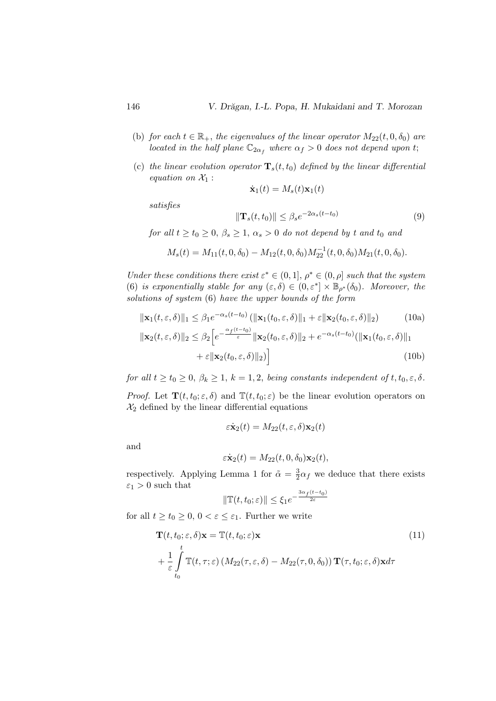(9)

- (b) for each  $t \in \mathbb{R}_+$ , the eigenvalues of the linear operator  $M_{22}(t, 0, \delta_0)$  are *located in the half plane*  $\mathbb{C}_{2\alpha_f}$  where  $\alpha_f > 0$  does not depend upon t;
- (c) the linear evolution operator  $\mathbf{T}_s(t, t_0)$  defined by the linear differential equation on  $\mathcal{X}_1$  :

$$
\dot{\mathbf{x}}_1(t) = M_s(t)\mathbf{x}_1(t)
$$

satisfies

$$
\|\mathbf{T}_s(t,t_0)\| \le \beta_s e^{-2\alpha_s(t-t_0)}
$$
  
for all  $t \ge t_0 \ge 0$ ,  $\beta_s \ge 1$ ,  $\alpha_s > 0$  do not depend by t and  $t_0$  and

$$
M_s(t) = M_{11}(t, 0, \delta_0) - M_{12}(t, 0, \delta_0) M_{22}^{-1}(t, 0, \delta_0) M_{21}(t, 0, \delta_0).
$$

Under these conditions there exist  $\varepsilon^* \in (0,1], \rho^* \in (0,\rho]$  such that the system (6) is exponentially stable for any  $(\varepsilon, \delta) \in (0, \varepsilon^*] \times \mathbb{B}_{\rho^*}(\delta_0)$ . Moreover, the solutions of system (6) have the upper bounds of the form

$$
\|\mathbf{x}_{1}(t,\varepsilon,\delta)\|_{1} \leq \beta_{1}e^{-\alpha_{s}(t-t_{0})}(\|\mathbf{x}_{1}(t_{0},\varepsilon,\delta)\|_{1} + \varepsilon\|\mathbf{x}_{2}(t_{0},\varepsilon,\delta)\|_{2}) \qquad (10a)
$$
  

$$
\|\mathbf{x}_{2}(t,\varepsilon,\delta)\|_{2} \leq \beta_{2}\left[e^{-\frac{\alpha_{f}(t-t_{0})}{\varepsilon}}\|\mathbf{x}_{2}(t_{0},\varepsilon,\delta)\|_{2} + e^{-\alpha_{s}(t-t_{0})}(\|\mathbf{x}_{1}(t_{0},\varepsilon,\delta)\|_{1} + \varepsilon\|\mathbf{x}_{2}(t_{0},\varepsilon,\delta)\|_{2})\right]
$$
(10b)

for all  $t \ge t_0 \ge 0$ ,  $\beta_k \ge 1$ ,  $k = 1, 2$ , being constants independent of  $t, t_0, \varepsilon, \delta$ .

*Proof.* Let  $\mathbf{T}(t, t_0; \varepsilon, \delta)$  and  $\mathbb{T}(t, t_0; \varepsilon)$  be the linear evolution operators on  $\mathcal{X}_2$  defined by the linear differential equations

$$
\varepsilon \dot{\mathbf{x}}_2(t) = M_{22}(t, \varepsilon, \delta) \mathbf{x}_2(t)
$$

and

$$
\varepsilon \dot{\mathbf{x}}_2(t) = M_{22}(t, 0, \delta_0) \mathbf{x}_2(t),
$$

respectively. Applying Lemma 1 for  $\tilde{\alpha} = \frac{3}{2}$  $\frac{3}{2}\alpha_f$  we deduce that there exists  $\varepsilon_1 > 0$  such that

$$
\|\mathbb{T}(t,t_0;\varepsilon)\| \le \xi_1 e^{-\frac{3\alpha_f(t-t_0)}{2\varepsilon}}
$$

for all  $t \geq t_0 \geq 0, 0 < \varepsilon \leq \varepsilon_1$ . Further we write

$$
\mathbf{T}(t, t_0; \varepsilon, \delta) \mathbf{x} = \mathbb{T}(t, t_0; \varepsilon) \mathbf{x}
$$
\n
$$
+ \frac{1}{\varepsilon} \int_{t_0}^t \mathbb{T}(t, \tau; \varepsilon) \left( M_{22}(\tau, \varepsilon, \delta) - M_{22}(\tau, 0, \delta_0) \right) \mathbf{T}(\tau, t_0; \varepsilon, \delta) \mathbf{x} d\tau
$$
\n(11)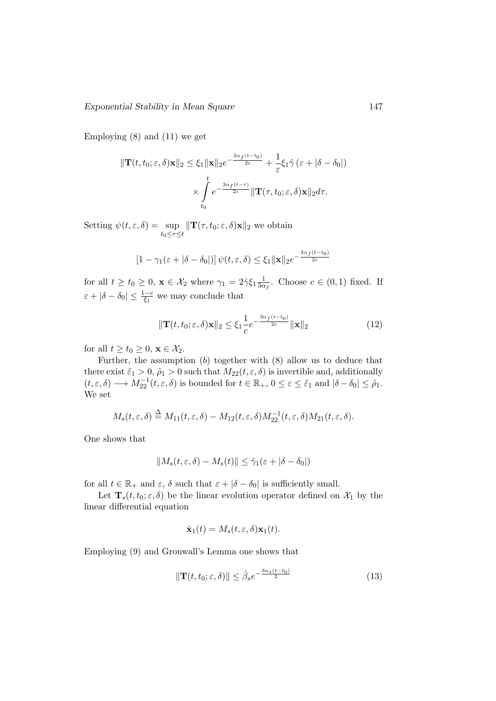Employing  $(8)$  and  $(11)$  we get

$$
\|\mathbf{T}(t,t_0;\varepsilon,\delta)\mathbf{x}\|_2 \leq \xi_1 \|\mathbf{x}\|_2 e^{-\frac{3\alpha_f(t-t_0)}{2\varepsilon}} + \frac{1}{\varepsilon} \xi_1 \hat{\gamma} (\varepsilon + |\delta - \delta_0|)
$$

$$
\times \int_{t_0}^t e^{-\frac{3\alpha_f(t-\tau)}{2\varepsilon}} \|\mathbf{T}(\tau,t_0;\varepsilon,\delta)\mathbf{x}\|_2 d\tau.
$$

Setting  $\psi(t,\varepsilon,\delta) = \sup$  $t_0 \leq \tau \leq t$  $\|\mathbf{T}(\tau, t_0; \varepsilon, \delta)\mathbf{x}\|_2$  we obtain

$$
[1 - \gamma_1(\varepsilon + |\delta - \delta_0|)] \psi(t, \varepsilon, \delta) \le \xi_1 ||\mathbf{x}||_2 e^{-\frac{3\alpha_f(t - t_0)}{2\varepsilon}}
$$

for all  $t \ge t_0 \ge 0$ ,  $\mathbf{x} \in \mathcal{X}_2$  where  $\gamma_1 = 2\hat{\gamma} \xi_1 \frac{1}{3\alpha}$  $\frac{1}{3\alpha_f}$ . Choose  $c \in (0,1)$  fixed. If  $\varepsilon + |\delta - \delta_0| \leq \frac{1-c}{\xi_1}$  we may conclude that

$$
\|\mathbf{T}(t, t_0; \varepsilon, \delta)\mathbf{x}\|_2 \le \xi_1 \frac{1}{c} e^{-\frac{3\alpha_f(t - t_0)}{2\varepsilon}} \|\mathbf{x}\|_2
$$
\n(12)

for all  $t \ge t_0 \ge 0$ ,  $\mathbf{x} \in \mathcal{X}_2$ .

Further, the assumption  $(b)$  together with  $(8)$  allow us to deduce that there exist  $\tilde{\varepsilon}_1 > 0$ ,  $\tilde{\rho}_1 > 0$  such that  $M_{22}(t, \varepsilon, \delta)$  is invertible and, additionally  $(t, \varepsilon, \delta) \longrightarrow M_{22}^{-1}(t, \varepsilon, \delta)$  is bounded for  $t \in \mathbb{R}_+$ ,  $0 \le \varepsilon \le \tilde{\varepsilon}_1$  and  $|\delta - \delta_0| \le \tilde{\rho}_1$ . We set

$$
M_s(t,\varepsilon,\delta) \stackrel{\Delta}{=} M_{11}(t,\varepsilon,\delta) - M_{12}(t,\varepsilon,\delta)M_{22}^{-1}(t,\varepsilon,\delta)M_{21}(t,\varepsilon,\delta).
$$

One shows that

$$
||M_s(t, \varepsilon, \delta) - M_s(t)|| \leq \hat{\gamma}_1(\varepsilon + |\delta - \delta_0|)
$$

for all  $t \in \mathbb{R}_+$  and  $\varepsilon$ ,  $\delta$  such that  $\varepsilon + |\delta - \delta_0|$  is sufficiently small.

Let  $\mathbf{T}_s(t, t_0; \varepsilon, \delta)$  be the linear evolution operator defined on  $\mathcal{X}_1$  by the linear differential equation

$$
\dot{\mathbf{x}}_1(t) = M_s(t, \varepsilon, \delta) \mathbf{x}_1(t).
$$

Employing (9) and Gronwall's Lemma one shows that

$$
\|\mathbf{T}(t, t_0; \varepsilon, \delta)\| \le \hat{\beta}_s e^{-\frac{3\alpha_s(t - t_0)}{2}} \tag{13}
$$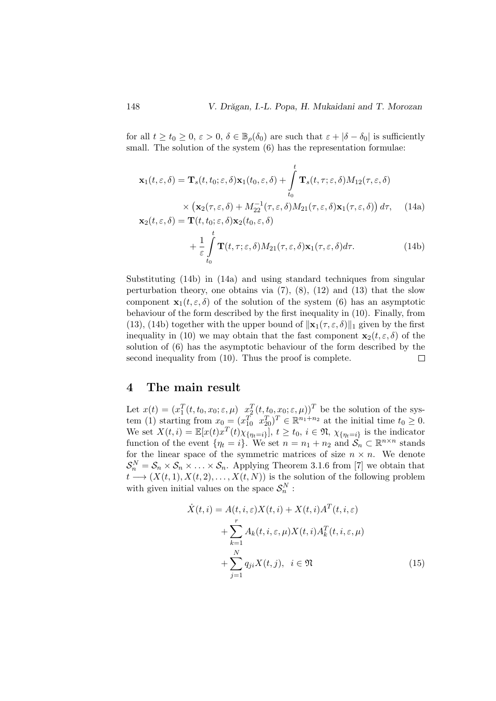for all  $t \ge t_0 \ge 0$ ,  $\varepsilon > 0$ ,  $\delta \in \mathbb{B}_{\rho}(\delta_0)$  are such that  $\varepsilon + |\delta - \delta_0|$  is sufficiently small. The solution of the system  $(6)$  has the representation formulae:

$$
\mathbf{x}_{1}(t, \varepsilon, \delta) = \mathbf{T}_{s}(t, t_{0}; \varepsilon, \delta) \mathbf{x}_{1}(t_{0}, \varepsilon, \delta) + \int_{t_{0}}^{t} \mathbf{T}_{s}(t, \tau; \varepsilon, \delta) M_{12}(\tau, \varepsilon, \delta)
$$

$$
\times (\mathbf{x}_{2}(\tau, \varepsilon, \delta) + M_{22}^{-1}(\tau, \varepsilon, \delta) M_{21}(\tau, \varepsilon, \delta) \mathbf{x}_{1}(\tau, \varepsilon, \delta)) d\tau, \quad (14a)
$$

$$
\mathbf{x}_{2}(t, \varepsilon, \delta) = \mathbf{T}(t, t_{0}; \varepsilon, \delta) \mathbf{x}_{2}(t_{0}, \varepsilon, \delta)
$$

$$
+\frac{1}{\varepsilon} \int_{t_0}^t \mathbf{T}(t,\tau;\varepsilon,\delta) M_{21}(\tau,\varepsilon,\delta) \mathbf{x}_1(\tau,\varepsilon,\delta) d\tau.
$$
 (14b)

Substituting (14b) in (14a) and using standard techniques from singular perturbation theory, one obtains via  $(7)$ ,  $(8)$ ,  $(12)$  and  $(13)$  that the slow component  $\mathbf{x}_1(t, \varepsilon, \delta)$  of the solution of the system (6) has an asymptotic behaviour of the form described by the first inequality in (10). Finally, from (13), (14b) together with the upper bound of  $\|\mathbf{x}_1(\tau, \varepsilon, \delta)\|_1$  given by the first inequality in (10) we may obtain that the fast component  $\mathbf{x}_2(t, \varepsilon, \delta)$  of the solution of (6) has the asymptotic behaviour of the form described by the second inequality from (10). Thus the proof is complete.  $\Box$ 

## 4 The main result

Let  $x(t) = (x_1^T(t, t_0, x_0; \varepsilon, \mu) \ x_2^T(t, t_0, x_0; \varepsilon, \mu))^T$  be the solution of the system (1) starting from  $x_0 = (x_{10}^T \ x_{20}^T)^T \in \mathbb{R}^{n_1+n_2}$  at the initial time  $t_0 \geq 0$ . We set  $X(t, i) = \mathbb{E}[x(t)x^{T}(t)\chi_{\{\eta_{t}=i\}}], t \geq t_0, i \in \mathfrak{N}, \chi_{\{\eta_{t}=i\}}$  is the indicator function of the event  $\{\eta_t = i\}$ . We set  $n = n_1 + n_2$  and  $\mathcal{S}_n \subset \mathbb{R}^{n \times n}$  stands for the linear space of the symmetric matrices of size  $n \times n$ . We denote  $S_n^N = S_n \times S_n \times \ldots \times S_n$ . Applying Theorem 3.1.6 from [7] we obtain that  $t \longrightarrow (X(t, 1), X(t, 2), \ldots, X(t, N))$  is the solution of the following problem with given initial values on the space  $\mathcal{S}_n^N$ :

$$
\dot{X}(t,i) = A(t,i,\varepsilon)X(t,i) + X(t,i)A^{T}(t,i,\varepsilon)
$$

$$
+ \sum_{k=1}^{r} A_{k}(t,i,\varepsilon,\mu)X(t,i)A_{k}^{T}(t,i,\varepsilon,\mu)
$$

$$
+ \sum_{j=1}^{N} q_{ji}X(t,j), \quad i \in \mathfrak{N}
$$
(15)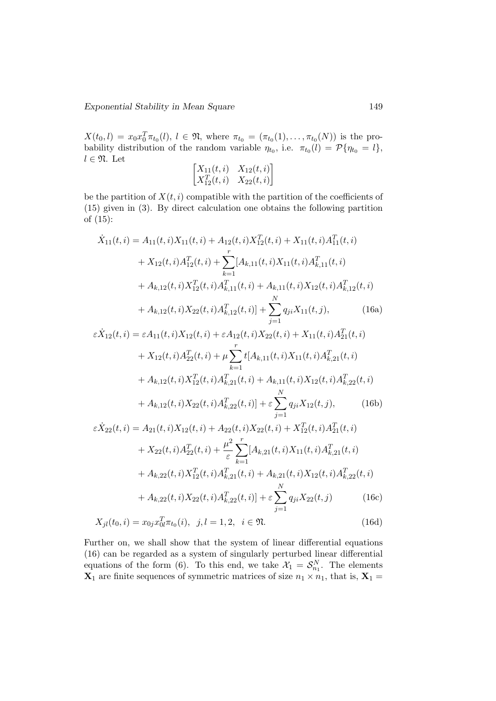$X(t_0, l) = x_0 x_0^T \pi_{t_0}(l), l \in \mathfrak{N},$  where  $\pi_{t_0} = (\pi_{t_0}(1), \ldots, \pi_{t_0}(N))$  is the probability distribution of the random variable  $\eta_{t_0}$ , i.e.  $\pi_{t_0}(l) = \mathcal{P}\{\eta_{t_0} = l\},\$  $l \in \mathfrak{N}$ . Let

$$
\begin{bmatrix} X_{11}(t,i) & X_{12}(t,i) \\ X_{12}^T(t,i) & X_{22}(t,i) \end{bmatrix}
$$

be the partition of  $X(t, i)$  compatible with the partition of the coefficients of (15) given in (3). By direct calculation one obtains the following partition of (15):

$$
\dot{X}_{11}(t,i) = A_{11}(t,i)X_{11}(t,i) + A_{12}(t,i)X_{12}^{T}(t,i) + X_{11}(t,i)A_{11}^{T}(t,i) \n+ X_{12}(t,i)A_{12}^{T}(t,i) + \sum_{k=1}^{r} [A_{k,11}(t,i)X_{11}(t,i)A_{k,11}^{T}(t,i) \n+ A_{k,12}(t,i)X_{12}^{T}(t,i)A_{k,11}^{T}(t,i) + A_{k,11}(t,i)X_{12}(t,i)A_{k,12}^{T}(t,i) \n+ A_{k,12}(t,i)X_{22}(t,i)A_{k,12}^{T}(t,i)] + \sum_{j=1}^{N} q_{ji}X_{11}(t,j),
$$
\n(16a)

$$
\varepsilon \dot{X}_{12}(t,i) = \varepsilon A_{11}(t,i) X_{12}(t,i) + \varepsilon A_{12}(t,i) X_{22}(t,i) + X_{11}(t,i) A_{21}^T(t,i)
$$
  
+  $X_{12}(t,i) A_{22}^T(t,i) + \mu \sum_{k=1}^r t[A_{k,11}(t,i) X_{11}(t,i) A_{k,21}^T(t,i)$   
+  $A_{k,12}(t,i) X_{12}^T(t,i) A_{k,21}^T(t,i) + A_{k,11}(t,i) X_{12}(t,i) A_{k,22}^T(t,i)$   
+  $A_{k,12}(t,i) X_{22}(t,i) A_{k,22}^T(t,i) + \varepsilon \sum_{j=1}^N q_{ji} X_{12}(t,j),$  (16b)

$$
\varepsilon \dot{X}_{22}(t,i) = A_{21}(t,i)X_{12}(t,i) + A_{22}(t,i)X_{22}(t,i) + X_{12}^T(t,i)A_{21}^T(t,i)
$$
  
+  $X_{22}(t,i)A_{22}^T(t,i) + \frac{\mu^2}{\varepsilon} \sum_{k=1}^r [A_{k,21}(t,i)X_{11}(t,i)A_{k,21}^T(t,i)$   
+  $A_{k,22}(t,i)X_{12}^T(t,i)A_{k,21}^T(t,i) + A_{k,21}(t,i)X_{12}(t,i)A_{k,22}^T(t,i)$   
+  $A_{k,22}(t,i)X_{22}(t,i)A_{k,22}^T(t,i)] + \varepsilon \sum_{j=1}^N q_{ji}X_{22}(t,j)$  (16c)

$$
X_{jl}(t_0, i) = x_{0j} x_{0l}^T \pi_{t_0}(i), \ \ j, l = 1, 2, \ \ i \in \mathfrak{N}.
$$
 (16d)

Further on, we shall show that the system of linear differential equations (16) can be regarded as a system of singularly perturbed linear differential equations of the form (6). To this end, we take  $\mathcal{X}_1 = \mathcal{S}_{n_1}^N$ . The elements  $\mathbf{X}_1$  are finite sequences of symmetric matrices of size  $n_1 \times n_1$ , that is,  $\mathbf{X}_1 =$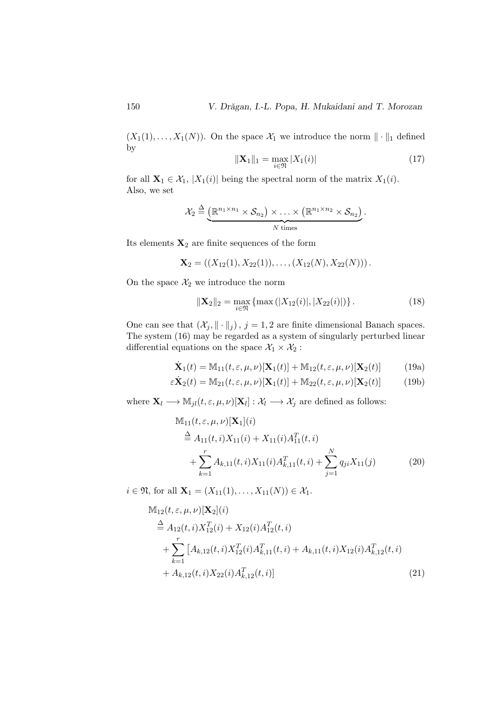$(X_1(1),..., X_1(N))$ . On the space  $\mathcal{X}_1$  we introduce the norm  $\|\cdot\|_1$  defined by

$$
\|\mathbf{X}_1\|_1 = \max_{i \in \mathfrak{N}} |X_1(i)| \tag{17}
$$

for all  $X_1 \in \mathcal{X}_1$ ,  $|X_1(i)|$  being the spectral norm of the matrix  $X_1(i)$ . Also, we set

$$
\mathcal{X}_2 \stackrel{\Delta}{=} \underbrace{(\mathbb{R}^{n_1 \times n_1} \times \mathcal{S}_{n_2}) \times \ldots \times (\mathbb{R}^{n_1 \times n_2} \times \mathcal{S}_{n_2})}_{N \text{ times}}.
$$

Its elements  $\mathbf{X}_2$  are finite sequences of the form

$$
\mathbf{X}_2 = ((X_{12}(1), X_{22}(1)), \ldots, (X_{12}(N), X_{22}(N))).
$$

On the space  $\mathcal{X}_2$  we introduce the norm

$$
\|\mathbf{X}_2\|_2 = \max_{i \in \mathfrak{N}} \left\{ \max\left( |X_{12}(i)|, |X_{22}(i)| \right) \right\}.
$$
 (18)

One can see that  $(\mathcal{X}_j, \|\cdot\|_j)$ ,  $j = 1, 2$  are finite dimensional Banach spaces. The system (16) may be regarded as a system of singularly perturbed linear differential equations on the space  $\mathcal{X}_1 \times \mathcal{X}_2$  :

$$
\dot{\mathbf{X}}_1(t) = \mathbb{M}_{11}(t, \varepsilon, \mu, \nu)[\mathbf{X}_1(t)] + \mathbb{M}_{12}(t, \varepsilon, \mu, \nu)[\mathbf{X}_2(t)] \tag{19a}
$$

$$
\varepsilon \dot{\mathbf{X}}_2(t) = \mathbb{M}_{21}(t, \varepsilon, \mu, \nu) [\mathbf{X}_1(t)] + \mathbb{M}_{22}(t, \varepsilon, \mu, \nu) [\mathbf{X}_2(t)] \tag{19b}
$$

where  $\mathbf{X}_l \longrightarrow \mathbb{M}_{jl}(t, \varepsilon, \mu, \nu)[\mathbf{X}_l]: \mathcal{X}_l \longrightarrow \mathcal{X}_j$  are defined as follows:

$$
\mathbb{M}_{11}(t, \varepsilon, \mu, \nu)[\mathbf{X}_1](i)
$$
\n
$$
\stackrel{\Delta}{=} A_{11}(t, i)X_{11}(i) + X_{11}(i)A_{11}^T(t, i)
$$
\n
$$
+ \sum_{k=1}^r A_{k, 11}(t, i)X_{11}(i)A_{k, 11}^T(t, i) + \sum_{j=1}^N q_{ji}X_{11}(j)
$$
\n(20)

 $i \in \mathfrak{N}$ , for all  $\mathbf{X}_1 = (X_{11}(1), \dots, X_{11}(N)) \in \mathcal{X}_1$ .

$$
\mathbb{M}_{12}(t, \varepsilon, \mu, \nu)[\mathbf{X}_2](i)
$$
\n
$$
\stackrel{\Delta}{=} A_{12}(t, i) X_{12}^T(i) + X_{12}(i) A_{12}^T(t, i)
$$
\n
$$
+ \sum_{k=1}^r [A_{k,12}(t, i) X_{12}^T(i) A_{k,11}^T(t, i) + A_{k,11}(t, i) X_{12}(i) A_{k,12}^T(t, i)
$$
\n
$$
+ A_{k,12}(t, i) X_{22}(i) A_{k,12}^T(t, i)]
$$
\n(21)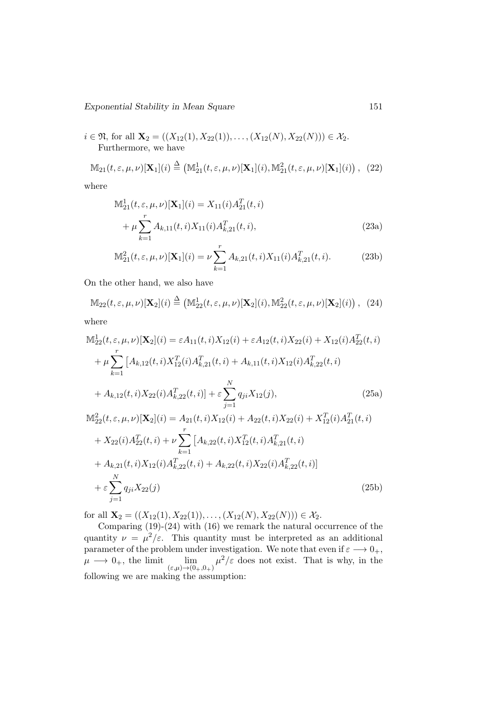$i \in \mathfrak{N}$ , for all  $\mathbf{X}_2 = ((X_{12}(1), X_{22}(1)), \ldots, (X_{12}(N), X_{22}(N))) \in \mathcal{X}_2$ . Furthermore, we have

$$
\mathbb{M}_{21}(t,\varepsilon,\mu,\nu)[\mathbf{X}_1](i) \stackrel{\Delta}{=} (\mathbb{M}_{21}^1(t,\varepsilon,\mu,\nu)[\mathbf{X}_1](i), \mathbb{M}_{21}^2(t,\varepsilon,\mu,\nu)[\mathbf{X}_1](i)), \tag{22}
$$

where

$$
\mathbb{M}_{21}^{1}(t, \varepsilon, \mu, \nu)[\mathbf{X}_{1}](i) = X_{11}(i)A_{21}^{T}(t, i) \n+ \mu \sum_{k=1}^{r} A_{k, 11}(t, i)X_{11}(i)A_{k, 21}^{T}(t, i),
$$
\n(23a)

$$
\mathbb{M}_{21}^2(t,\varepsilon,\mu,\nu)[\mathbf{X}_1](i) = \nu \sum_{k=1}^r A_{k,21}(t,i) X_{11}(i) A_{k,21}^T(t,i).
$$
 (23b)

On the other hand, we also have

$$
\mathbb{M}_{22}(t,\varepsilon,\mu,\nu)[\mathbf{X}_2](i) \stackrel{\Delta}{=} (\mathbb{M}_{22}^1(t,\varepsilon,\mu,\nu)[\mathbf{X}_2](i), \mathbb{M}_{22}^2(t,\varepsilon,\mu,\nu)[\mathbf{X}_2](i)), \tag{24}
$$

where

$$
\mathbb{M}_{22}^{1}(t, \varepsilon, \mu, \nu)[\mathbf{X}_{2}](i) = \varepsilon A_{11}(t, i)X_{12}(i) + \varepsilon A_{12}(t, i)X_{22}(i) + X_{12}(i)A_{22}^{T}(t, i)
$$
\n
$$
+ \mu \sum_{k=1}^{r} \left[ A_{k,12}(t, i)X_{12}^{T}(i)A_{k,21}^{T}(t, i) + A_{k,11}(t, i)X_{12}(i)A_{k,22}^{T}(t, i) + A_{k,12}(t, i)X_{22}(i)A_{k,22}^{T}(t, i) \right] + A_{k,12}(t, i)X_{22}(i)A_{k,22}^{T}(t, i) + \varepsilon \sum_{j=1}^{N} q_{ji}X_{12}(j),
$$
\n(25a)

$$
\mathbb{M}_{22}^{2}(t,\varepsilon,\mu,\nu)[\mathbf{X}_{2}](i) = A_{21}(t,i)X_{12}(i) + A_{22}(t,i)X_{22}(i) + X_{12}^{T}(i)A_{21}^{T}(t,i) \n+ X_{22}(i)A_{22}^{T}(t,i) + \nu \sum_{k=1}^{r} [A_{k,22}(t,i)X_{12}^{T}(t,i)A_{k,21}^{T}(t,i) \n+ A_{k,21}(t,i)X_{12}(i)A_{k,22}^{T}(t,i) + A_{k,22}(t,i)X_{22}(i)A_{k,22}^{T}(t,i)] \n+ \varepsilon \sum_{j=1}^{N} q_{ji}X_{22}(j)
$$
\n(25b)

for all  $\mathbf{X}_2 = ((X_{12}(1), X_{22}(1)), \ldots, (X_{12}(N), X_{22}(N))) \in \mathcal{X}_2$ .

Comparing (19)-(24) with (16) we remark the natural occurrence of the quantity  $\nu = \mu^2/\varepsilon$ . This quantity must be interpreted as an additional parameter of the problem under investigation. We note that even if  $\varepsilon \longrightarrow 0_+,$  $\mu \longrightarrow 0_+$ , the limit  $\lim_{(\varepsilon,\mu)\to(0_+,0_+)}\mu^2/\varepsilon$  does not exist. That is why, in the following we are making the assumption: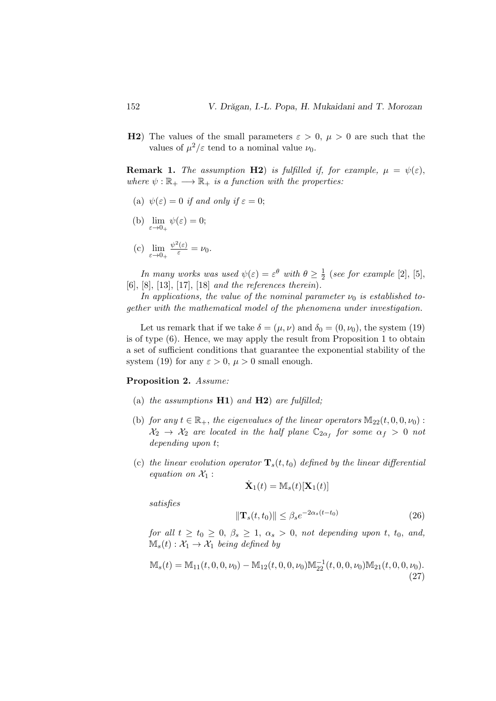H2) The values of the small parameters  $\varepsilon > 0$ ,  $\mu > 0$  are such that the values of  $\mu^2/\varepsilon$  tend to a nominal value  $\nu_0$ .

**Remark 1.** The assumption H2) is fulfilled if, for example,  $\mu = \psi(\varepsilon)$ , where  $\psi : \mathbb{R}_+ \longrightarrow \mathbb{R}_+$  is a function with the properties:

- (a)  $\psi(\varepsilon) = 0$  if and only if  $\varepsilon = 0$ ;
- (b)  $\lim_{\varepsilon \to 0+} \psi(\varepsilon) = 0;$

(c) 
$$
\lim_{\varepsilon \to 0+} \frac{\psi^2(\varepsilon)}{\varepsilon} = \nu_0.
$$

In many works was used  $\psi(\varepsilon) = \varepsilon^{\theta}$  with  $\theta \geq \frac{1}{2}$  $\frac{1}{2}$  (see for example [2], [5], [6], [8], [13], [17], [18] and the references therein).

In applications, the value of the nominal parameter  $\nu_0$  is established together with the mathematical model of the phenomena under investigation.

Let us remark that if we take  $\delta = (\mu, \nu)$  and  $\delta_0 = (0, \nu_0)$ , the system (19) is of type (6). Hence, we may apply the result from Proposition 1 to obtain a set of sufficient conditions that guarantee the exponential stability of the system (19) for any  $\varepsilon > 0$ ,  $\mu > 0$  small enough.

#### Proposition 2. Assume:

- (a) the assumptions  $H1$ ) and  $H2$ ) are fulfilled;
- (b) for any  $t \in \mathbb{R}_+$ , the eigenvalues of the linear operators  $\mathbb{M}_{22}(t, 0, 0, \nu_0)$ :  $\mathcal{X}_2 \to \mathcal{X}_2$  are located in the half plane  $\mathbb{C}_{2\alpha_f}$  for some  $\alpha_f > 0$  not depending upon t;
- (c) the linear evolution operator  $\mathbf{T}_s(t,t_0)$  defined by the linear differential equation on  $\mathcal{X}_1$  :

$$
\dot{\mathbf{X}}_1(t) = \mathbb{M}_s(t)[\mathbf{X}_1(t)]
$$

satisfies

$$
\|\mathbf{T}_s(t, t_0)\| \le \beta_s e^{-2\alpha_s(t - t_0)}\tag{26}
$$

for all  $t \ge t_0 \ge 0$ ,  $\beta_s \ge 1$ ,  $\alpha_s > 0$ , not depending upon t,  $t_0$ , and,  $M_s(t): \mathcal{X}_1 \rightarrow \mathcal{X}_1$  being defined by

$$
\mathbb{M}_s(t) = \mathbb{M}_{11}(t, 0, 0, \nu_0) - \mathbb{M}_{12}(t, 0, 0, \nu_0) \mathbb{M}_{22}^{-1}(t, 0, 0, \nu_0) \mathbb{M}_{21}(t, 0, 0, \nu_0).
$$
\n(27)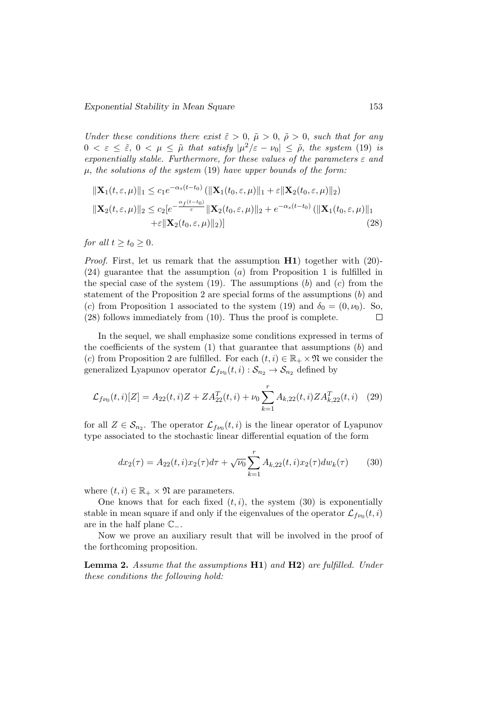Under these conditions there exist  $\tilde{\varepsilon} > 0$ ,  $\tilde{\mu} > 0$ ,  $\tilde{\rho} > 0$ , such that for any  $0 < \varepsilon \leq \tilde{\varepsilon}, 0 < \mu \leq \tilde{\mu}$  that satisfy  $|\mu^2/\varepsilon - \nu_0| \leq \tilde{\rho}$ , the system (19) is exponentially stable. Furthermore, for these values of the parameters  $\varepsilon$  and  $\mu$ , the solutions of the system (19) have upper bounds of the form:

$$
\|\mathbf{X}_{1}(t,\varepsilon,\mu)\|_{1} \leq c_{1}e^{-\alpha_{s}(t-t_{0})} (\|\mathbf{X}_{1}(t_{0},\varepsilon,\mu)\|_{1} + \varepsilon \|\mathbf{X}_{2}(t_{0},\varepsilon,\mu)\|_{2})
$$
  

$$
\|\mathbf{X}_{2}(t,\varepsilon,\mu)\|_{2} \leq c_{2}[e^{-\frac{\alpha_{f}(t-t_{0})}{\varepsilon}} \|\mathbf{X}_{2}(t_{0},\varepsilon,\mu)\|_{2} + e^{-\alpha_{s}(t-t_{0})} (\|\mathbf{X}_{1}(t_{0},\varepsilon,\mu)\|_{1} + \varepsilon \|\mathbf{X}_{2}(t_{0},\varepsilon,\mu)\|_{2})]
$$
(28)

for all  $t > t_0 > 0$ .

*Proof.* First, let us remark that the assumption  $H1$ ) together with (20)- $(24)$  guarantee that the assumption  $(a)$  from Proposition 1 is fulfilled in the special case of the system  $(19)$ . The assumptions  $(b)$  and  $(c)$  from the statement of the Proposition 2 are special forms of the assumptions  $(b)$  and (c) from Proposition 1 associated to the system (19) and  $\delta_0 = (0, \nu_0)$ . So, (28) follows immediately from (10). Thus the proof is complete.  $\Box$ 

In the sequel, we shall emphasize some conditions expressed in terms of the coefficients of the system  $(1)$  that guarantee that assumptions  $(b)$  and (c) from Proposition 2 are fulfilled. For each  $(t, i) \in \mathbb{R}_+ \times \mathfrak{N}$  we consider the generalized Lyapunov operator  $\mathcal{L}_{f\nu_0}(t,i): \mathcal{S}_{n_2} \to \mathcal{S}_{n_2}$  defined by

$$
\mathcal{L}_{f\nu_0}(t,i)[Z] = A_{22}(t,i)Z + ZA_{22}^T(t,i) + \nu_0 \sum_{k=1}^r A_{k,22}(t,i)ZA_{k,22}^T(t,i)
$$
 (29)

for all  $Z \in \mathcal{S}_{n_2}$ . The operator  $\mathcal{L}_{f\nu_0}(t,i)$  is the linear operator of Lyapunov type associated to the stochastic linear differential equation of the form

$$
dx_2(\tau) = A_{22}(t, i)x_2(\tau)d\tau + \sqrt{\nu_0} \sum_{k=1}^r A_{k, 22}(t, i)x_2(\tau)dw_k(\tau)
$$
 (30)

where  $(t, i) \in \mathbb{R}_+ \times \mathfrak{N}$  are parameters.

One knows that for each fixed  $(t, i)$ , the system  $(30)$  is exponentially stable in mean square if and only if the eigenvalues of the operator  $\mathcal{L}_{fv}(t, i)$ are in the half plane  $\mathbb{C}_-$ .

Now we prove an auxiliary result that will be involved in the proof of the forthcoming proposition.

**Lemma 2.** Assume that the assumptions  $H1$ ) and  $H2$ ) are fulfilled. Under these conditions the following hold: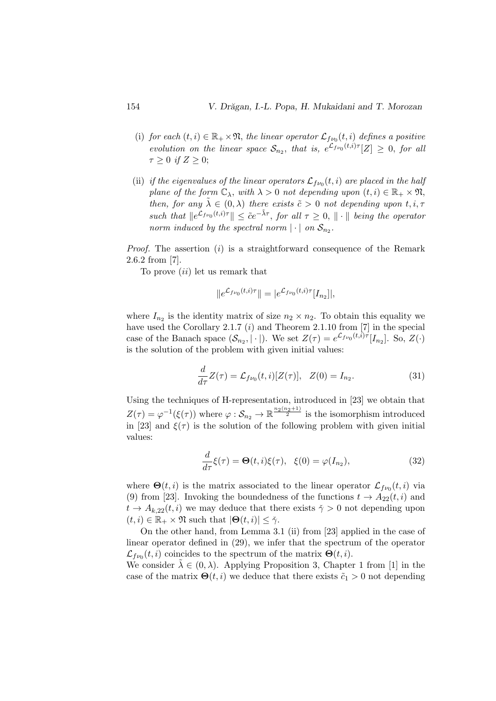- (i) for each  $(t, i) \in \mathbb{R}_+ \times \mathfrak{N}$ , the linear operator  $\mathcal{L}_{f\nu_0}(t, i)$  defines a positive evolution on the linear space  $S_{n_2}$ , that is,  $e^{\mathcal{L}_{f\nu_0}(t,i)\tau}[Z] \geq 0$ , for all  $\tau \geq 0$  if  $Z \geq 0$ ;
- (ii) if the eigenvalues of the linear operators  $\mathcal{L}_{f\nu_0}(t,i)$  are placed in the half plane of the form  $\mathbb{C}_{\lambda}$ , with  $\lambda > 0$  not depending upon  $(t, i) \in \mathbb{R}_{+} \times \mathfrak{N}$ , then, for any  $\lambda \in (0, \lambda)$  there exists  $\tilde{c} > 0$  not depending upon  $t, i, \tau$ such that  $||e^{\mathcal{L}_{f\nu_0}(t,i)\tau}|| \leq \tilde{c}e^{-\tilde{\lambda}\tau}$ , for all  $\tau \geq 0$ ,  $||\cdot||$  being the operator norm induced by the spectral norm  $|\cdot|$  on  $S_{n_2}$ .

*Proof.* The assertion  $(i)$  is a straightforward consequence of the Remark 2.6.2 from [7].

To prove  $(ii)$  let us remark that

$$
||e^{\mathcal{L}_{f\nu_0}(t,i)\tau}|| = |e^{\mathcal{L}_{f\nu_0}(t,i)\tau}[I_{n_2}]],
$$

where  $I_{n_2}$  is the identity matrix of size  $n_2 \times n_2$ . To obtain this equality we have used the Corollary 2.1.7  $(i)$  and Theorem 2.1.10 from [7] in the special case of the Banach space  $(S_{n_2}, |\cdot|)$ . We set  $Z(\tau) = e^{\mathcal{L}_{f\nu_0}(t,i)\tau} [I_{n_2}]$ . So,  $Z(\cdot)$ is the solution of the problem with given initial values:

$$
\frac{d}{d\tau}Z(\tau) = \mathcal{L}_{f\nu_0}(t,i)[Z(\tau)], \quad Z(0) = I_{n_2}.
$$
\n(31)

Using the techniques of H-representation, introduced in [23] we obtain that  $Z(\tau) = \varphi^{-1}(\xi(\tau))$  where  $\varphi : \mathcal{S}_{n_2} \to \mathbb{R}^{\frac{n_2(n_2+1)}{2}}$  is the isomorphism introduced in [23] and  $\xi(\tau)$  is the solution of the following problem with given initial values:

$$
\frac{d}{d\tau}\xi(\tau) = \Theta(t, i)\xi(\tau), \quad \xi(0) = \varphi(I_{n_2}),\tag{32}
$$

where  $\mathbf{\Theta}(t,i)$  is the matrix associated to the linear operator  $\mathcal{L}_{f\nu_0}(t,i)$  via (9) from [23]. Invoking the boundedness of the functions  $t \to A_{22}(t, i)$  and  $t \to A_{k,22}(t,i)$  we may deduce that there exists  $\gamma > 0$  not depending upon  $(t, i) \in \mathbb{R}_+ \times \mathfrak{N}$  such that  $|\mathbf{\Theta}(t, i)| \leq \check{\gamma}$ .

On the other hand, from Lemma 3.1 (ii) from [23] applied in the case of linear operator defined in (29), we infer that the spectrum of the operator  $\mathcal{L}_{f\nu_0}(t,i)$  coincides to the spectrum of the matrix  $\Theta(t,i)$ . We consider  $\lambda \in (0, \lambda)$ . Applying Proposition 3, Chapter 1 from [1] in the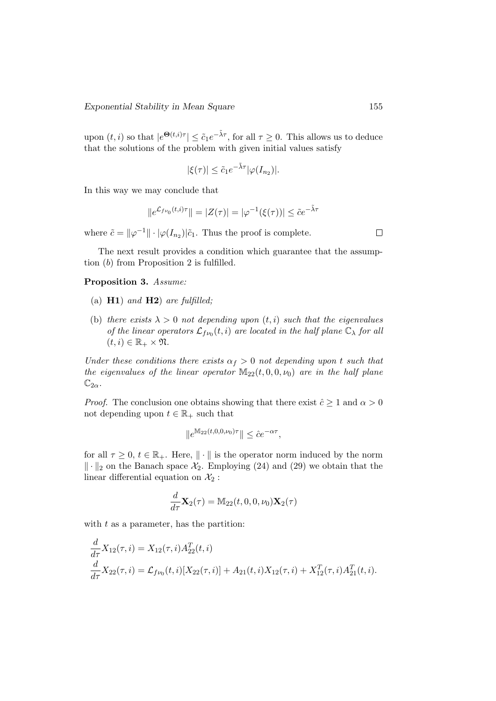upon  $(t, i)$  so that  $|e^{\Theta(t, i)\tau}| \leq \tilde{c}_1 e^{-\tilde{\lambda}\tau}$ , for all  $\tau \geq 0$ . This allows us to deduce that the solutions of the problem with given initial values satisfy

$$
|\xi(\tau)| \leq \tilde{c}_1 e^{-\tilde{\lambda}\tau} |\varphi(I_{n_2})|.
$$

In this way we may conclude that

$$
||e^{\mathcal{L}_{f\nu_0}(t,i)\tau}|| = |Z(\tau)| = |\varphi^{-1}(\xi(\tau))| \leq \tilde{c}e^{-\tilde{\lambda}\tau}
$$

where  $\tilde{c} = ||\varphi^{-1}|| \cdot |\varphi(I_{n_2})| \tilde{c}_1$ . Thus the proof is complete.

The next result provides a condition which guarantee that the assumption (b) from Proposition 2 is fulfilled.

Proposition 3. Assume:

- (a)  $H1$ ) and  $H2$ ) are fulfilled;
- (b) there exists  $\lambda > 0$  not depending upon  $(t, i)$  such that the eigenvalues of the linear operators  $\mathcal{L}_{f\nu_0}(t,i)$  are located in the half plane  $\mathbb{C}_{\lambda}$  for all  $(t, i) \in \mathbb{R}_+ \times \mathfrak{N}.$

Under these conditions there exists  $\alpha_f > 0$  not depending upon t such that the eigenvalues of the linear operator  $M_{22}(t, 0, 0, \nu_0)$  are in the half plane  $\mathbb{C}_{2\alpha}$ .

*Proof.* The conclusion one obtains showing that there exist  $\hat{c} \geq 1$  and  $\alpha > 0$ not depending upon  $t \in \mathbb{R}_+$  such that

$$
\|e^{\mathbb M_{22}(t,0,0,\nu_0)\tau}\|\leq \hat{c} e^{-\alpha\tau},
$$

for all  $\tau \geq 0$ ,  $t \in \mathbb{R}_+$ . Here,  $\|\cdot\|$  is the operator norm induced by the norm  $\|\cdot\|_2$  on the Banach space  $\mathcal{X}_2$ . Employing (24) and (29) we obtain that the linear differential equation on  $\mathcal{X}_2$ :

$$
\frac{d}{d\tau}\mathbf{X}_2(\tau) = \mathbb{M}_{22}(t,0,0,\nu_0)\mathbf{X}_2(\tau)
$$

with  $t$  as a parameter, has the partition:

$$
\frac{d}{d\tau} X_{12}(\tau, i) = X_{12}(\tau, i) A_{22}^T(t, i)
$$
\n
$$
\frac{d}{d\tau} X_{22}(\tau, i) = \mathcal{L}_{f\nu_0}(t, i) [X_{22}(\tau, i)] + A_{21}(t, i) X_{12}(\tau, i) + X_{12}^T(\tau, i) A_{21}^T(t, i).
$$

 $\Box$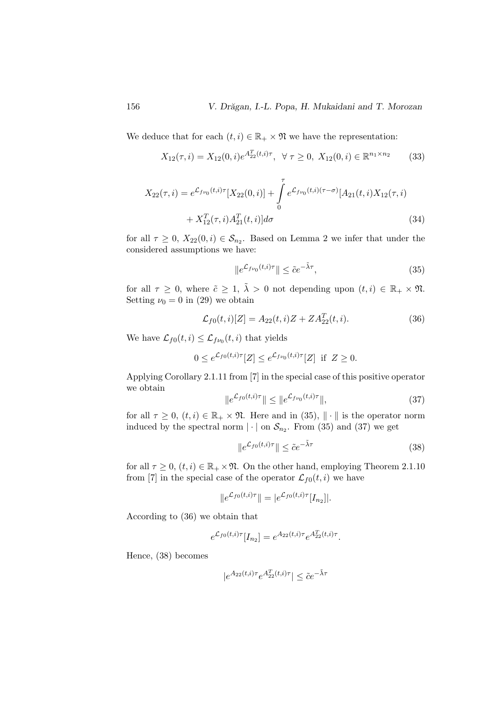We deduce that for each  $(t, i) \in \mathbb{R}_+ \times \mathfrak{N}$  we have the representation:

$$
X_{12}(\tau,i) = X_{12}(0,i)e^{A_{22}^T(t,i)\tau}, \ \ \forall \ \tau \ge 0, \ X_{12}(0,i) \in \mathbb{R}^{n_1 \times n_2}
$$
 (33)

$$
X_{22}(\tau,i) = e^{\mathcal{L}_{f\nu_0}(t,i)\tau} [X_{22}(0,i)] + \int_0^{\tau} e^{\mathcal{L}_{f\nu_0}(t,i)(\tau-\sigma)} [A_{21}(t,i)X_{12}(\tau,i) + X_{12}^T(\tau,i)A_{21}^T(t,i)]d\sigma
$$
\n(34)

for all  $\tau \geq 0$ ,  $X_{22}(0,i) \in \mathcal{S}_{n_2}$ . Based on Lemma 2 we infer that under the considered assumptions we have:

$$
||e^{\mathcal{L}_{f\nu_0}(t,i)\tau}|| \leq \tilde{c}e^{-\tilde{\lambda}\tau},\tag{35}
$$

for all  $\tau \geq 0$ , where  $\tilde{c} \geq 1$ ,  $\tilde{\lambda} > 0$  not depending upon  $(t, i) \in \mathbb{R}_+ \times \mathfrak{N}$ . Setting  $\nu_0 = 0$  in (29) we obtain

$$
\mathcal{L}_{f0}(t,i)[Z] = A_{22}(t,i)Z + ZA_{22}^{T}(t,i).
$$
\n(36)

We have  $\mathcal{L}_{f0}(t, i) \leq \mathcal{L}_{f\nu_0}(t, i)$  that yields

$$
0 \le e^{\mathcal{L}_{f0}(t,i)\tau}[Z] \le e^{\mathcal{L}_{f\nu_0}(t,i)\tau}[Z] \text{ if } Z \ge 0.
$$

Applying Corollary 2.1.11 from [7] in the special case of this positive operator we obtain

$$
\|e^{\mathcal{L}_{f0}(t,i)\tau}\| \le \|e^{\mathcal{L}_{f\nu_0}(t,i)\tau}\|,\tag{37}
$$

for all  $\tau \geq 0$ ,  $(t, i) \in \mathbb{R}_+ \times \mathfrak{N}$ . Here and in (35),  $\|\cdot\|$  is the operator norm induced by the spectral norm  $|\cdot|$  on  $S_{n_2}$ . From (35) and (37) we get

$$
\|e^{\mathcal{L}_{f0}(t,i)\tau}\| \le \tilde{c}e^{-\tilde{\lambda}\tau} \tag{38}
$$

for all  $\tau \geq 0$ ,  $(t, i) \in \mathbb{R}_+ \times \mathfrak{N}$ . On the other hand, employing Theorem 2.1.10 from [7] in the special case of the operator  $\mathcal{L}_{f0}(t, i)$  we have

$$
||e^{\mathcal{L}_{f0}(t,i)\tau}|| = |e^{\mathcal{L}_{f0}(t,i)\tau}[I_{n_2}||.
$$

According to (36) we obtain that

$$
e^{\mathcal{L}_{f0}(t,i)\tau}[I_{n_2}] = e^{A_{22}(t,i)\tau}e^{A_{22}^T(t,i)\tau}.
$$

Hence, (38) becomes

$$
|e^{A_{22}(t,i)\tau}e^{A_{22}^T(t,i)\tau}|\leq \tilde{c}e^{-\tilde{\lambda}\tau}
$$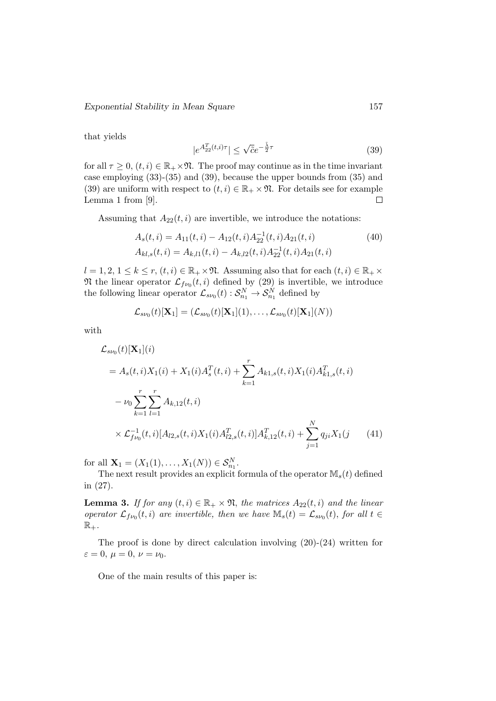that yields

$$
|e^{A_{22}^T(t,i)\tau}| \le \sqrt{\tilde{c}}e^{-\frac{\tilde{\lambda}}{2}\tau} \tag{39}
$$

for all  $\tau \geq 0$ ,  $(t, i) \in \mathbb{R}_+ \times \mathfrak{N}$ . The proof may continue as in the time invariant case employing (33)-(35) and (39), because the upper bounds from (35) and (39) are uniform with respect to  $(t, i) \in \mathbb{R}_+ \times \mathfrak{N}$ . For details see for example Lemma 1 from [9].  $\Box$ 

Assuming that  $A_{22}(t, i)$  are invertible, we introduce the notations:

$$
A_s(t, i) = A_{11}(t, i) - A_{12}(t, i) A_{22}^{-1}(t, i) A_{21}(t, i)
$$
  
\n
$$
A_{kl,s}(t, i) = A_{k,l1}(t, i) - A_{k,l2}(t, i) A_{22}^{-1}(t, i) A_{21}(t, i)
$$
\n(40)

 $l = 1, 2, 1 \leq k \leq r, (t, i) \in \mathbb{R}_+ \times \mathfrak{N}$ . Assuming also that for each  $(t, i) \in \mathbb{R}_+ \times$  $\mathfrak{N}$  the linear operator  $\mathcal{L}_{f\nu_0}(t,i)$  defined by (29) is invertible, we introduce the following linear operator  $\mathcal{L}_{s\nu_0}(t) : \mathcal{S}_{n_1}^N \to \mathcal{S}_{n_1}^N$  defined by

$$
\mathcal{L}_{s\nu_0}(t)[\mathbf{X}_1] = (\mathcal{L}_{s\nu_0}(t)[\mathbf{X}_1](1), \ldots, \mathcal{L}_{s\nu_0}(t)[\mathbf{X}_1](N))
$$

with

$$
\mathcal{L}_{sv_0}(t)[\mathbf{X}_1](i)
$$
\n
$$
= A_s(t, i)X_1(i) + X_1(i)A_s^T(t, i) + \sum_{k=1}^r A_{k1,s}(t, i)X_1(i)A_{k1,s}^T(t, i)
$$
\n
$$
- \nu_0 \sum_{k=1}^r \sum_{l=1}^r A_{k,12}(t, i)
$$
\n
$$
\times \mathcal{L}_{fv_0}^{-1}(t, i)[A_{l2,s}(t, i)X_1(i)A_{l2,s}^T(t, i)]A_{k,12}^T(t, i) + \sum_{j=1}^N q_{ji}X_1(j \quad (41)
$$

for all  $X_1 = (X_1(1), ..., X_1(N)) \in S_{n_1}^N$ .

The next result provides an explicit formula of the operator  $M_s(t)$  defined in (27).

**Lemma 3.** If for any  $(t, i) \in \mathbb{R}_+ \times \mathfrak{N}$ , the matrices  $A_{22}(t, i)$  and the linear operator  $\mathcal{L}_{f\nu_0}(t,i)$  are invertible, then we have  $\mathbb{M}_s(t) = \mathcal{L}_{s\nu_0}(t)$ , for all  $t \in$  $\mathbb{R}_+$ .

The proof is done by direct calculation involving (20)-(24) written for  $\varepsilon = 0, \mu = 0, \nu = \nu_0.$ 

One of the main results of this paper is: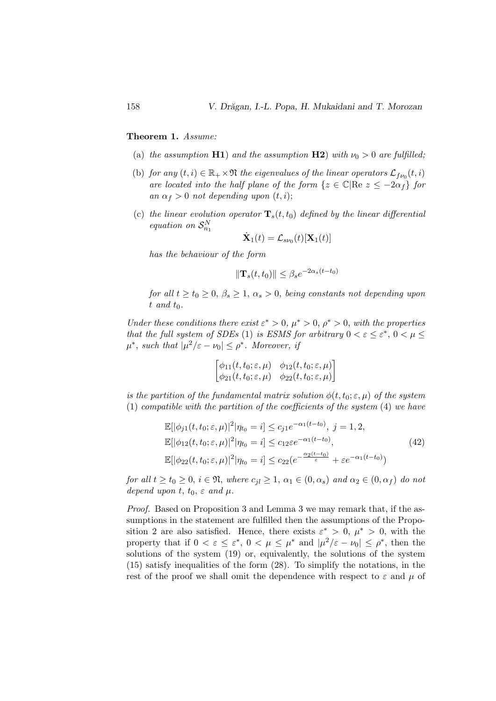#### Theorem 1. Assume:

- (a) the assumption H1) and the assumption H2) with  $\nu_0 > 0$  are fulfilled;
- (b) for any  $(t, i) \in \mathbb{R}_+ \times \mathfrak{N}$  the eigenvalues of the linear operators  $\mathcal{L}_{fv}(t, i)$ are located into the half plane of the form  $\{z \in \mathbb{C} | \text{Re } z \leq -2\alpha_i\}$  for an  $\alpha_f > 0$  not depending upon  $(t, i)$ ;
- (c) the linear evolution operator  $\mathbf{T}_s(t,t_0)$  defined by the linear differential equation on  $\mathcal{S}_{n_1}^N$

$$
\dot{\mathbf{X}}_1(t) = \mathcal{L}_{s\nu_0}(t)[\mathbf{X}_1(t)]
$$

has the behaviour of the form

$$
\|\mathbf{T}_s(t,t_0)\| \le \beta_s e^{-2\alpha_s(t-t_0)}
$$

for all  $t \ge t_0 \ge 0$ ,  $\beta_s \ge 1$ ,  $\alpha_s > 0$ , being constants not depending upon  $t$  and  $t_0$ .

Under these conditions there exist  $\varepsilon^* > 0$ ,  $\mu^* > 0$ ,  $\rho^* > 0$ , with the properties that the full system of SDEs (1) is ESMS for arbitrary  $0 < \varepsilon \leq \varepsilon^*$ ,  $0 < \mu \leq$  $\mu^*$ , such that  $|\mu^2/\varepsilon - \nu_0| \le \rho^*$ . Moreover, if

$$
\begin{bmatrix}\n\phi_{11}(t, t_0; \varepsilon, \mu) & \phi_{12}(t, t_0; \varepsilon, \mu) \\
\phi_{21}(t, t_0; \varepsilon, \mu) & \phi_{22}(t, t_0; \varepsilon, \mu)\n\end{bmatrix}
$$

is the partition of the fundamental matrix solution  $\phi(t, t_0; \varepsilon, \mu)$  of the system (1) compatible with the partition of the coefficients of the system (4) we have

$$
\mathbb{E}[|\phi_{j1}(t, t_0; \varepsilon, \mu)|^2 |\eta_{t_0} = i] \le c_{j1} e^{-\alpha_1 (t - t_0)}, \ j = 1, 2,
$$
  
\n
$$
\mathbb{E}[|\phi_{12}(t, t_0; \varepsilon, \mu)|^2 |\eta_{t_0} = i] \le c_{12} \varepsilon e^{-\alpha_1 (t - t_0)},
$$
  
\n
$$
\mathbb{E}[|\phi_{22}(t, t_0; \varepsilon, \mu)|^2 |\eta_{t_0} = i] \le c_{22} (e^{-\frac{\alpha_2 (t - t_0)}{\varepsilon}} + \varepsilon e^{-\alpha_1 (t - t_0)})
$$
\n(42)

for all  $t \ge t_0 \ge 0$ ,  $i \in \mathfrak{N}$ , where  $c_{i} \ge 1$ ,  $\alpha_1 \in (0, \alpha_s)$  and  $\alpha_2 \in (0, \alpha_f)$  do not depend upon t,  $t_0$ ,  $\varepsilon$  and  $\mu$ .

Proof. Based on Proposition 3 and Lemma 3 we may remark that, if the assumptions in the statement are fulfilled then the assumptions of the Proposition 2 are also satisfied. Hence, there exists  $\varepsilon^* > 0$ ,  $\mu^* > 0$ , with the property that if  $0 < \varepsilon \leq \varepsilon^*$ ,  $0 < \mu \leq \mu^*$  and  $|\mu^2/\varepsilon - \nu_0| \leq \rho^*$ , then the solutions of the system (19) or, equivalently, the solutions of the system (15) satisfy inequalities of the form (28). To simplify the notations, in the rest of the proof we shall omit the dependence with respect to  $\varepsilon$  and  $\mu$  of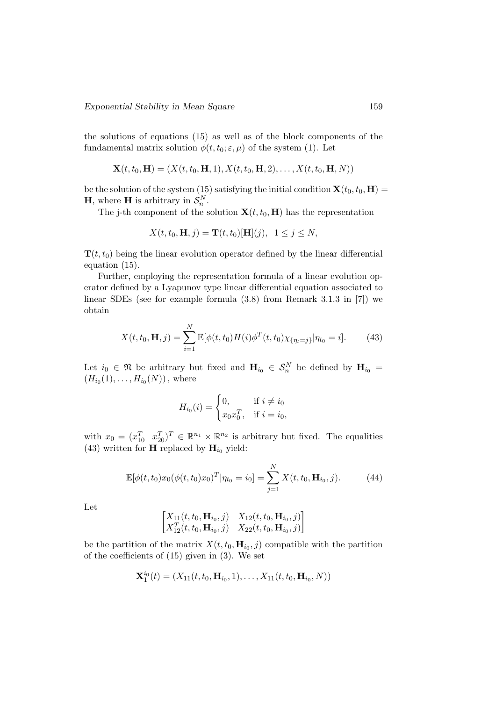the solutions of equations (15) as well as of the block components of the fundamental matrix solution  $\phi(t, t_0; \varepsilon, \mu)$  of the system (1). Let

$$
\mathbf{X}(t, t_0, \mathbf{H}) = (X(t, t_0, \mathbf{H}, 1), X(t, t_0, \mathbf{H}, 2), \dots, X(t, t_0, \mathbf{H}, N))
$$

be the solution of the system (15) satisfying the initial condition  $\mathbf{X}(t_0, t_0, \mathbf{H}) =$ **H**, where **H** is arbitrary in  $S_n^N$ .

The j-th component of the solution  $\mathbf{X}(t, t_0, \mathbf{H})$  has the representation

$$
X(t, t_0, \mathbf{H}, j) = \mathbf{T}(t, t_0)[\mathbf{H}](j), \ \ 1 \le j \le N,
$$

 $\mathbf{T}(t, t_0)$  being the linear evolution operator defined by the linear differential equation (15).

Further, employing the representation formula of a linear evolution operator defined by a Lyapunov type linear differential equation associated to linear SDEs (see for example formula (3.8) from Remark 3.1.3 in [7]) we obtain

$$
X(t, t_0, \mathbf{H}, j) = \sum_{i=1}^{N} \mathbb{E}[\phi(t, t_0) H(i) \phi^T(t, t_0) \chi_{\{\eta_t = j\}} | \eta_{t_0} = i]. \tag{43}
$$

Let  $i_0 \in \mathfrak{N}$  be arbitrary but fixed and  $\mathbf{H}_{i_0} \in \mathcal{S}_n^N$  be defined by  $\mathbf{H}_{i_0} =$  $(H_{i_0}(1),...,H_{i_0}(N))$ , where

$$
H_{i_0}(i) = \begin{cases} 0, & \text{if } i \neq i_0 \\ x_0 x_0^T, & \text{if } i = i_0, \end{cases}
$$

with  $x_0 = (x_{10}^T \ x_{20}^T)^T \in \mathbb{R}^{n_1} \times \mathbb{R}^{n_2}$  is arbitrary but fixed. The equalities (43) written for **H** replaced by  $\mathbf{H}_{i_0}$  yield:

$$
\mathbb{E}[\phi(t,t_0)x_0(\phi(t,t_0)x_0)^T|\eta_{t_0} = i_0] = \sum_{j=1}^N X(t,t_0, \mathbf{H}_{i_0}, j). \tag{44}
$$

Let

$$
\begin{bmatrix} X_{11}(t, t_0, \mathbf{H}_{i_0}, j) & X_{12}(t, t_0, \mathbf{H}_{i_0}, j) \\ X_{12}^T(t, t_0, \mathbf{H}_{i_0}, j) & X_{22}(t, t_0, \mathbf{H}_{i_0}, j) \end{bmatrix}
$$

be the partition of the matrix  $X(t, t_0, \mathbf{H}_{i_0}, j)$  compatible with the partition of the coefficients of (15) given in (3). We set

$$
\mathbf{X}_1^{i_0}(t) = (X_{11}(t, t_0, \mathbf{H}_{i_0}, 1), \dots, X_{11}(t, t_0, \mathbf{H}_{i_0}, N))
$$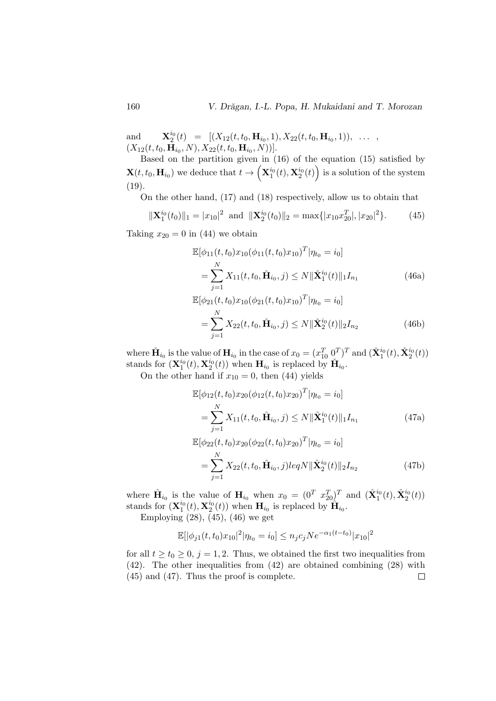and  $\mathbf{H}_{2}^{i_{0}}(t) = [(X_{12}(t, t_{0}, \mathbf{H}_{i_{0}}, 1), X_{22}(t, t_{0}, \mathbf{H}_{i_{0}}, 1)), \ldots,$  $(X_{12}(t, t_0, \mathbf{H}_{i_0}, N), X_{22}(t, t_0, \mathbf{H}_{i_0}, N))].$ 

Based on the partition given in (16) of the equation (15) satisfied by  $\mathbf{X}(t,t_0,\mathbf{H}_{i_0})$  we deduce that  $t \to \left(\mathbf{X}_1^{i_0}(t),\mathbf{X}_2^{i_0}(t)\right)$  is a solution of the system (19).

On the other hand, (17) and (18) respectively, allow us to obtain that

$$
\|\mathbf{X}_1^{i_0}(t_0)\|_1 = |x_{10}|^2 \text{ and } \|\mathbf{X}_2^{i_0}(t_0)\|_2 = \max\{|x_{10}x_{20}^T|, |x_{20}|^2\}.
$$
 (45)

Taking  $x_{20} = 0$  in (44) we obtain

$$
\mathbb{E}[\phi_{11}(t, t_0)x_{10}(\phi_{11}(t, t_0)x_{10})^T | \eta_{t_0} = i_0]
$$
\n
$$
= \sum_{j=1}^N X_{11}(t, t_0, \check{\mathbf{H}}_{i_0}, j) \le N \|\check{\mathbf{X}}_1^{i_0}(t)\|_1 I_{n_1}
$$
\n
$$
\mathbb{E}[\phi_{21}(t, t_0)x_{10}(\phi_{21}(t, t_0)x_{10})^T | \eta_{t_0} = i_0]
$$
\n
$$
= \sum_{j=1}^N X_{22}(t, t_0, \check{\mathbf{H}}_{i_0}, j) \le N \|\check{\mathbf{X}}_2^{i_0}(t)\|_2 I_{n_2}
$$
\n(46b)

where  $\check{H}_{i_0}$  is the value of  $H_{i_0}$  in the case of  $x_0 = (x_{10}^T \ 0^T)^T$  and  $(\check{X}_1^{i_0}(t), \check{X}_2^{i_0}(t))$ stands for  $(\mathbf{X}_1^{i_0}(t), \mathbf{X}_2^{i_0}(t))$  when  $\mathbf{H}_{i_0}$  is replaced by  $\check{\mathbf{H}}_{i_0}$ .

On the other hand if  $x_{10} = 0$ , then (44) yields

$$
\mathbb{E}[\phi_{12}(t, t_0)x_{20}(\phi_{12}(t, t_0)x_{20})^T | \eta_{t_0} = i_0]
$$
\n
$$
= \sum_{j=1}^N X_{11}(t, t_0, \hat{\mathbf{H}}_{i_0}, j) \le N \|\hat{\mathbf{X}}_1^{i_0}(t)\|_1 I_{n_1}
$$
\n
$$
\mathbb{E}[\phi_{22}(t, t_0)x_{20}(\phi_{22}(t, t_0)x_{20})^T | \eta_{t_0} = i_0]
$$
\n
$$
= \sum_{j=1}^N X_{22}(t, t_0, \hat{\mathbf{H}}_{i_0}, j) \le qN \|\hat{\mathbf{X}}_2^{i_0}(t)\|_2 I_{n_2}
$$
\n(47b)

where  $\hat{\mathbf{H}}_{i_0}$  is the value of  $\mathbf{H}_{i_0}$  when  $x_0 = (0^T x_{20}^T)^T$  and  $(\hat{\mathbf{X}}_1^{i_0}(t), \hat{\mathbf{X}}_2^{i_0}(t))$ stands for  $(\mathbf{X}_1^{i_0}(t), \mathbf{X}_2^{i_0}(t))$  when  $\mathbf{H}_{i_0}$  is replaced by  $\hat{\mathbf{H}}_{i_0}$ .

Employing  $(28)$ ,  $(45)$ ,  $(46)$  we get

$$
\mathbb{E}[|\phi_{j1}(t,t_0)x_{10}|^2|\eta_{t_0}=i_0] \leq n_j c_j N e^{-\alpha_1 (t-t_0)}|x_{10}|^2
$$

for all  $t \ge t_0 \ge 0$ ,  $j = 1, 2$ . Thus, we obtained the first two inequalities from (42). The other inequalities from (42) are obtained combining (28) with (45) and (47). Thus the proof is complete. $\Box$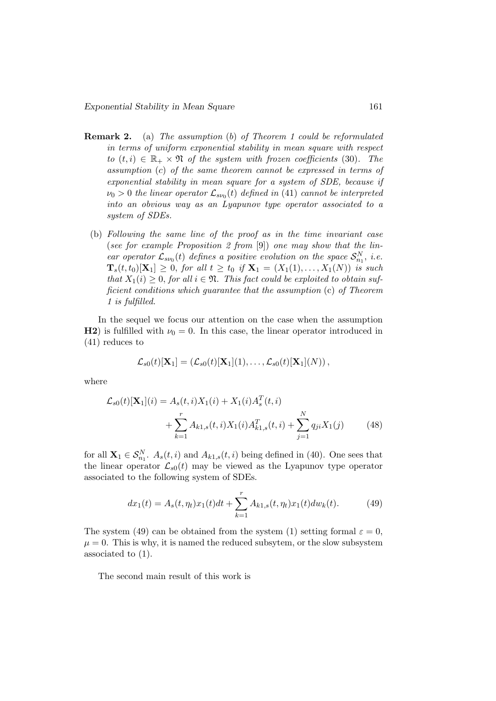- Remark 2. (a) The assumption (b) of Theorem 1 could be reformulated in terms of uniform exponential stability in mean square with respect to  $(t, i) \in \mathbb{R}_+ \times \mathfrak{N}$  of the system with frozen coefficients (30). The assumption (c) of the same theorem cannot be expressed in terms of exponential stability in mean square for a system of SDE, because if  $\nu_0 > 0$  the linear operator  $\mathcal{L}_{s\nu_0}(t)$  defined in (41) cannot be interpreted into an obvious way as an Lyapunov type operator associated to a system of SDEs.
	- (b) Following the same line of the proof as in the time invariant case (see for example Proposition 2 from [9]) one may show that the linear operator  $\mathcal{L}_{s\nu_0}(t)$  defines a positive evolution on the space  $\mathcal{S}_{n_1}^N$ , i.e.  $\mathbf{T}_s(t, t_0)[\mathbf{X}_1] \geq 0$ , for all  $t \geq t_0$  if  $\mathbf{X}_1 = (X_1(1), \ldots, X_1(N))$  is such that  $X_1(i) \geq 0$ , for all  $i \in \mathfrak{N}$ . This fact could be exploited to obtain sufficient conditions which guarantee that the assumption (c) of Theorem 1 is fulfilled.

In the sequel we focus our attention on the case when the assumption H2) is fulfilled with  $\nu_0 = 0$ . In this case, the linear operator introduced in (41) reduces to

$$
\mathcal{L}_{s0}(t)[\mathbf{X}_1] = (\mathcal{L}_{s0}(t)[\mathbf{X}_1](1), \ldots, \mathcal{L}_{s0}(t)[\mathbf{X}_1](N)),
$$

where

$$
\mathcal{L}_{s0}(t)[\mathbf{X}_{1}](i) = A_{s}(t, i)X_{1}(i) + X_{1}(i)A_{s}^{T}(t, i)
$$

$$
+ \sum_{k=1}^{r} A_{k1, s}(t, i)X_{1}(i)A_{k1, s}^{T}(t, i) + \sum_{j=1}^{N} q_{ji}X_{1}(j) \tag{48}
$$

for all  $\mathbf{X}_1 \in \mathcal{S}_{n_1}^N$ .  $A_s(t, i)$  and  $A_{k_1, s}(t, i)$  being defined in (40). One sees that the linear operator  $\mathcal{L}_{s0}(t)$  may be viewed as the Lyapunov type operator associated to the following system of SDEs.

$$
dx_1(t) = A_s(t, \eta_t)x_1(t)dt + \sum_{k=1}^r A_{k1,s}(t, \eta_t)x_1(t)dw_k(t).
$$
 (49)

The system (49) can be obtained from the system (1) setting formal  $\varepsilon = 0$ ,  $\mu = 0$ . This is why, it is named the reduced subsytem, or the slow subsystem associated to (1).

The second main result of this work is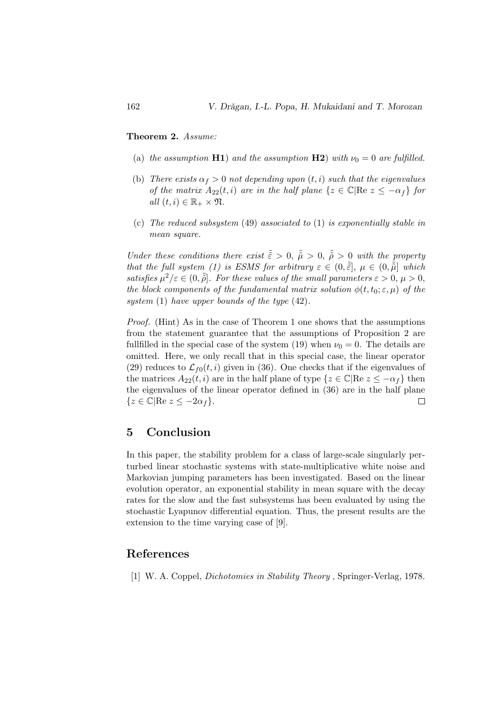Theorem 2. Assume:

- (a) the assumption H1) and the assumption H2) with  $\nu_0 = 0$  are fulfilled.
- (b) There exists  $\alpha_f > 0$  not depending upon  $(t, i)$  such that the eigenvalues of the matrix  $A_{22}(t, i)$  are in the half plane  $\{z \in \mathbb{C} | \text{Re } z \leq -\alpha_t\}$  for all  $(t, i) \in \mathbb{R}_+ \times \mathfrak{N}$ .
- (c) The reduced subsystem (49) associated to (1) is exponentially stable in mean square.

Under these conditions there exist  $\tilde{\tilde{\epsilon}} > 0$ ,  $\tilde{\tilde{\mu}} > 0$ ,  $\tilde{\tilde{\rho}} > 0$  with the property that the full system (1) is ESMS for arbitrary  $\varepsilon \in (0, \tilde{\tilde{\varepsilon}}], \mu \in (0, \tilde{\tilde{\mu}}]$  which satisfies  $\mu^2/\varepsilon \in (0, \tilde{\rho})$ . For these values of the small parameters  $\varepsilon > 0, \mu > 0$ , the block components of the fundamental matrix solution  $\phi(t, t_0; \varepsilon, \mu)$  of the system (1) have upper bounds of the type  $(42)$ .

Proof. (Hint) As in the case of Theorem 1 one shows that the assumptions from the statement guarantee that the assumptions of Proposition 2 are fullfilled in the special case of the system (19) when  $\nu_0 = 0$ . The details are omitted. Here, we only recall that in this special case, the linear operator (29) reduces to  $\mathcal{L}_{f0}(t, i)$  given in (36). One checks that if the eigenvalues of the matrices  $A_{22}(t, i)$  are in the half plane of type  $\{z \in \mathbb{C} | \text{Re } z \leq -\alpha_f\}$  then the eigenvalues of the linear operator defined in (36) are in the half plane  ${z \in \mathbb{C} | \text{Re } z \leq -2\alpha_f}.$  $\Box$ 

# 5 Conclusion

In this paper, the stability problem for a class of large-scale singularly perturbed linear stochastic systems with state-multiplicative white noise and Markovian jumping parameters has been investigated. Based on the linear evolution operator, an exponential stability in mean square with the decay rates for the slow and the fast subsystems has been evaluated by using the stochastic Lyapunov differential equation. Thus, the present results are the extension to the time varying case of [9].

# References

[1] W. A. Coppel, Dichotomies in Stability Theory , Springer-Verlag, 1978.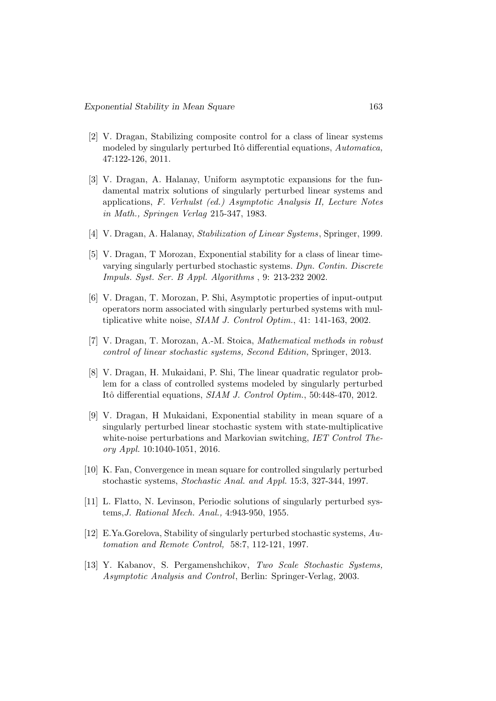- [2] V. Dragan, Stabilizing composite control for a class of linear systems modeled by singularly perturbed Itô differential equations, Automatica, 47:122-126, 2011.
- [3] V. Dragan, A. Halanay, Uniform asymptotic expansions for the fundamental matrix solutions of singularly perturbed linear systems and applications, F. Verhulst (ed.) Asymptotic Analysis II, Lecture Notes in Math., Springen Verlag 215-347, 1983.
- [4] V. Dragan, A. Halanay, Stabilization of Linear Systems, Springer, 1999.
- [5] V. Dragan, T Morozan, Exponential stability for a class of linear timevarying singularly perturbed stochastic systems. Dyn. Contin. Discrete Impuls. Syst. Ser. B Appl. Algorithms , 9: 213-232 2002.
- [6] V. Dragan, T. Morozan, P. Shi, Asymptotic properties of input-output operators norm associated with singularly perturbed systems with multiplicative white noise, SIAM J. Control Optim., 41: 141-163, 2002.
- [7] V. Dragan, T. Morozan, A.-M. Stoica, Mathematical methods in robust control of linear stochastic systems, Second Edition, Springer, 2013.
- [8] V. Dragan, H. Mukaidani, P. Shi, The linear quadratic regulator problem for a class of controlled systems modeled by singularly perturbed Itô differential equations, SIAM J. Control Optim., 50:448-470, 2012.
- [9] V. Dragan, H Mukaidani, Exponential stability in mean square of a singularly perturbed linear stochastic system with state-multiplicative white-noise perturbations and Markovian switching, IET Control Theory Appl. 10:1040-1051, 2016.
- [10] K. Fan, Convergence in mean square for controlled singularly perturbed stochastic systems, Stochastic Anal. and Appl. 15:3, 327-344, 1997.
- [11] L. Flatto, N. Levinson, Periodic solutions of singularly perturbed systems,J. Rational Mech. Anal., 4:943-950, 1955.
- [12] E.Ya.Gorelova, Stability of singularly perturbed stochastic systems,  $Au$ tomation and Remote Control, 58:7, 112-121, 1997.
- [13] Y. Kabanov, S. Pergamenshchikov, Two Scale Stochastic Systems, Asymptotic Analysis and Control, Berlin: Springer-Verlag, 2003.